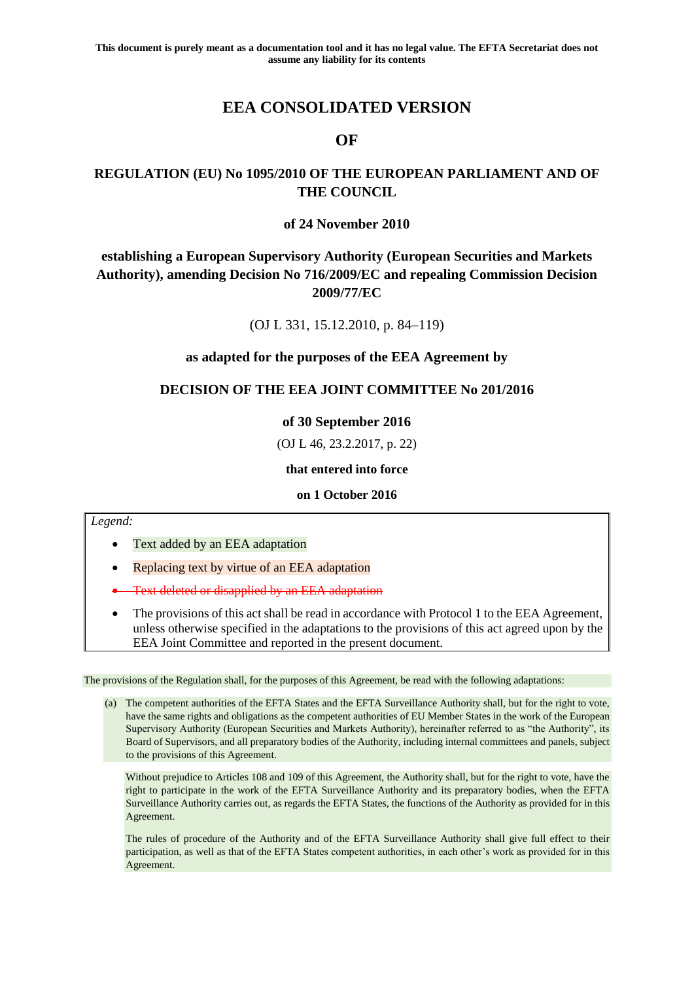# **EEA CONSOLIDATED VERSION**

## **OF**

## **REGULATION (EU) No 1095/2010 OF THE EUROPEAN PARLIAMENT AND OF THE COUNCIL**

## **of 24 November 2010**

## **establishing a European Supervisory Authority (European Securities and Markets Authority), amending Decision No 716/2009/EC and repealing Commission Decision 2009/77/EC**

(OJ L 331, 15.12.2010, p. 84–119)

## **as adapted for the purposes of the EEA Agreement by**

## **DECISION OF THE EEA JOINT COMMITTEE No 201/2016**

## **of 30 September 2016**

(OJ L 46, 23.2.2017, p. 22)

## **that entered into force**

## **on 1 October 2016**

## *Legend:*

- Text added by an EEA adaptation
- Replacing text by virtue of an EEA adaptation
- Text deleted or disapplied by an EEA adaptation
- The provisions of this act shall be read in accordance with Protocol 1 to the EEA Agreement, unless otherwise specified in the adaptations to the provisions of this act agreed upon by the EEA Joint Committee and reported in the present document.

The provisions of the Regulation shall, for the purposes of this Agreement, be read with the following adaptations:

(a) The competent authorities of the EFTA States and the EFTA Surveillance Authority shall, but for the right to vote, have the same rights and obligations as the competent authorities of EU Member States in the work of the European Supervisory Authority (European Securities and Markets Authority), hereinafter referred to as "the Authority", its Board of Supervisors, and all preparatory bodies of the Authority, including internal committees and panels, subject to the provisions of this Agreement.

Without prejudice to Articles 108 and 109 of this Agreement, the Authority shall, but for the right to vote, have the right to participate in the work of the EFTA Surveillance Authority and its preparatory bodies, when the EFTA Surveillance Authority carries out, as regards the EFTA States, the functions of the Authority as provided for in this Agreement.

The rules of procedure of the Authority and of the EFTA Surveillance Authority shall give full effect to their participation, as well as that of the EFTA States competent authorities, in each other's work as provided for in this Agreement.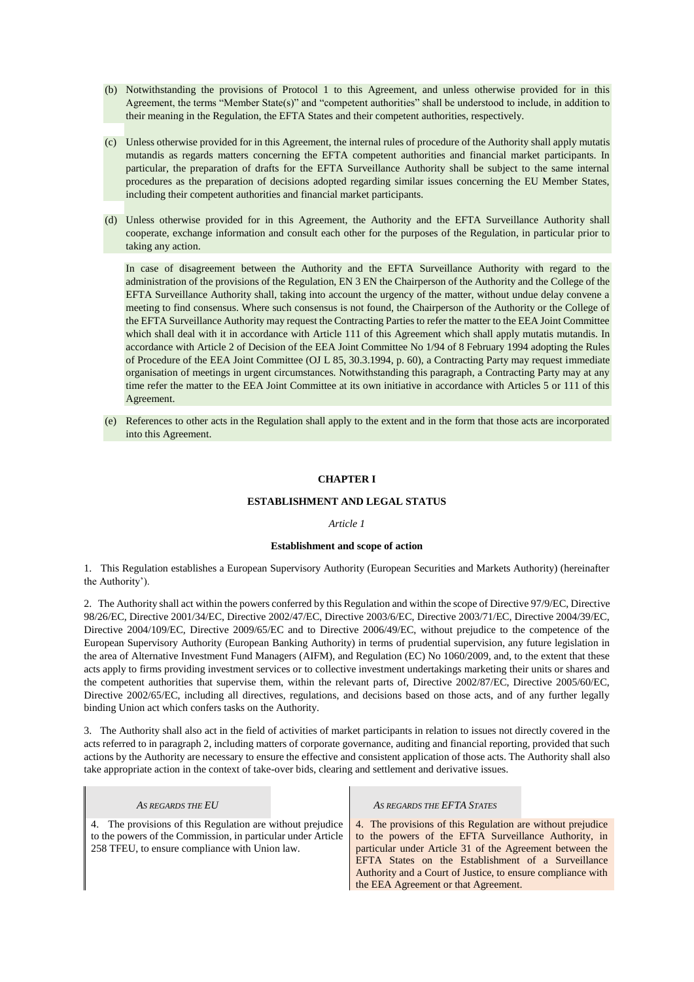- (b) Notwithstanding the provisions of Protocol 1 to this Agreement, and unless otherwise provided for in this Agreement, the terms "Member State(s)" and "competent authorities" shall be understood to include, in addition to their meaning in the Regulation, the EFTA States and their competent authorities, respectively.
- (c) Unless otherwise provided for in this Agreement, the internal rules of procedure of the Authority shall apply mutatis mutandis as regards matters concerning the EFTA competent authorities and financial market participants. In particular, the preparation of drafts for the EFTA Surveillance Authority shall be subject to the same internal procedures as the preparation of decisions adopted regarding similar issues concerning the EU Member States, including their competent authorities and financial market participants.
- (d) Unless otherwise provided for in this Agreement, the Authority and the EFTA Surveillance Authority shall cooperate, exchange information and consult each other for the purposes of the Regulation, in particular prior to taking any action.

In case of disagreement between the Authority and the EFTA Surveillance Authority with regard to the administration of the provisions of the Regulation, EN 3 EN the Chairperson of the Authority and the College of the EFTA Surveillance Authority shall, taking into account the urgency of the matter, without undue delay convene a meeting to find consensus. Where such consensus is not found, the Chairperson of the Authority or the College of the EFTA Surveillance Authority may request the Contracting Parties to refer the matter to the EEA Joint Committee which shall deal with it in accordance with Article 111 of this Agreement which shall apply mutatis mutandis. In accordance with Article 2 of Decision of the EEA Joint Committee No 1/94 of 8 February 1994 adopting the Rules of Procedure of the EEA Joint Committee (OJ L 85, 30.3.1994, p. 60), a Contracting Party may request immediate organisation of meetings in urgent circumstances. Notwithstanding this paragraph, a Contracting Party may at any time refer the matter to the EEA Joint Committee at its own initiative in accordance with Articles 5 or 111 of this Agreement.

(e) References to other acts in the Regulation shall apply to the extent and in the form that those acts are incorporated into this Agreement.

## **CHAPTER I**

### **ESTABLISHMENT AND LEGAL STATUS**

#### *Article 1*

#### **Establishment and scope of action**

1. This Regulation establishes a European Supervisory Authority (European Securities and Markets Authority) (hereinafter the Authority').

2. The Authority shall act within the powers conferred by this Regulation and within the scope of Directive 97/9/EC, Directive 98/26/EC, Directive 2001/34/EC, Directive 2002/47/EC, Directive 2003/6/EC, Directive 2003/71/EC, Directive 2004/39/EC, Directive 2004/109/EC, Directive 2009/65/EC and to Directive 2006/49/EC, without prejudice to the competence of the European Supervisory Authority (European Banking Authority) in terms of prudential supervision, any future legislation in the area of Alternative Investment Fund Managers (AIFM), and Regulation (EC) No 1060/2009, and, to the extent that these acts apply to firms providing investment services or to collective investment undertakings marketing their units or shares and the competent authorities that supervise them, within the relevant parts of, Directive 2002/87/EC, Directive 2005/60/EC, Directive 2002/65/EC, including all directives, regulations, and decisions based on those acts, and of any further legally binding Union act which confers tasks on the Authority.

3. The Authority shall also act in the field of activities of market participants in relation to issues not directly covered in the acts referred to in paragraph 2, including matters of corporate governance, auditing and financial reporting, provided that such actions by the Authority are necessary to ensure the effective and consistent application of those acts. The Authority shall also take appropriate action in the context of take-over bids, clearing and settlement and derivative issues.

 $\mathbf{r}$ 

| AS REGARDS THE EU                                                                                                                                                            | AS REGARDS THE EFTA STATES                                                                                                                                                                                                                                                                                                                  |
|------------------------------------------------------------------------------------------------------------------------------------------------------------------------------|---------------------------------------------------------------------------------------------------------------------------------------------------------------------------------------------------------------------------------------------------------------------------------------------------------------------------------------------|
| 4. The provisions of this Regulation are without prejudice<br>to the powers of the Commission, in particular under Article<br>258 TFEU, to ensure compliance with Union law. | 4. The provisions of this Regulation are without prejudice<br>to the powers of the EFTA Surveillance Authority, in<br>particular under Article 31 of the Agreement between the<br>EFTA States on the Establishment of a Surveillance<br>Authority and a Court of Justice, to ensure compliance with<br>the EEA Agreement or that Agreement. |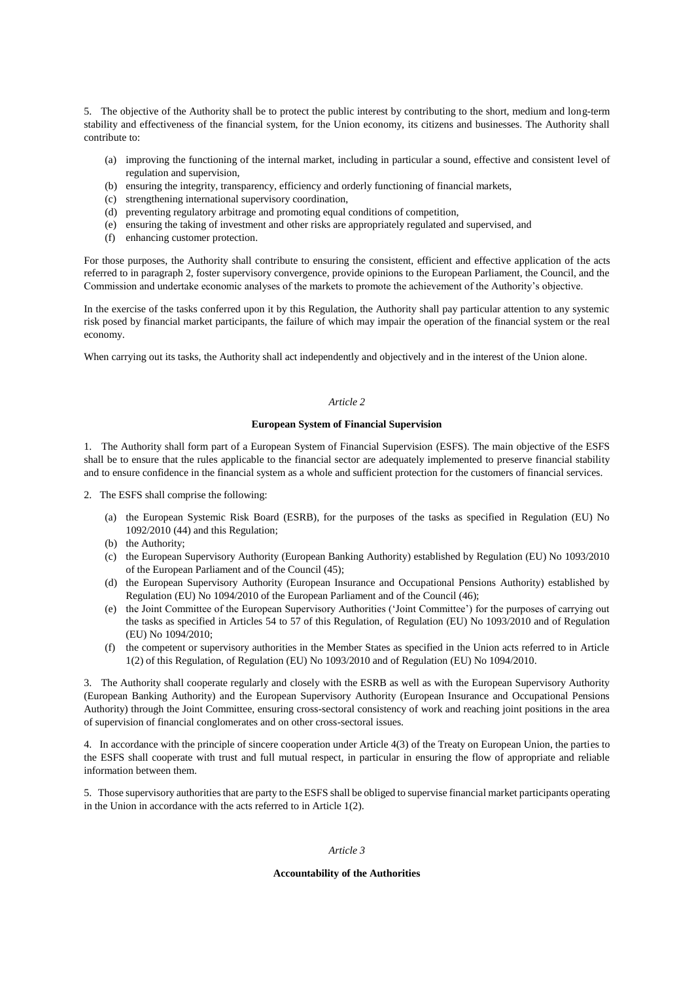5. The objective of the Authority shall be to protect the public interest by contributing to the short, medium and long-term stability and effectiveness of the financial system, for the Union economy, its citizens and businesses. The Authority shall contribute to:

- (a) improving the functioning of the internal market, including in particular a sound, effective and consistent level of regulation and supervision,
- (b) ensuring the integrity, transparency, efficiency and orderly functioning of financial markets,
- (c) strengthening international supervisory coordination,
- (d) preventing regulatory arbitrage and promoting equal conditions of competition,
- (e) ensuring the taking of investment and other risks are appropriately regulated and supervised, and
- (f) enhancing customer protection.

For those purposes, the Authority shall contribute to ensuring the consistent, efficient and effective application of the acts referred to in paragraph 2, foster supervisory convergence, provide opinions to the European Parliament, the Council, and the Commission and undertake economic analyses of the markets to promote the achievement of the Authority's objective.

In the exercise of the tasks conferred upon it by this Regulation, the Authority shall pay particular attention to any systemic risk posed by financial market participants, the failure of which may impair the operation of the financial system or the real economy.

When carrying out its tasks, the Authority shall act independently and objectively and in the interest of the Union alone.

## *Article 2*

#### **European System of Financial Supervision**

1. The Authority shall form part of a European System of Financial Supervision (ESFS). The main objective of the ESFS shall be to ensure that the rules applicable to the financial sector are adequately implemented to preserve financial stability and to ensure confidence in the financial system as a whole and sufficient protection for the customers of financial services.

2. The ESFS shall comprise the following:

- (a) the European Systemic Risk Board (ESRB), for the purposes of the tasks as specified in Regulation (EU) No 1092/2010 (44) and this Regulation;
- (b) the Authority;
- (c) the European Supervisory Authority (European Banking Authority) established by Regulation (EU) No 1093/2010 of the European Parliament and of the Council (45);
- (d) the European Supervisory Authority (European Insurance and Occupational Pensions Authority) established by Regulation (EU) No 1094/2010 of the European Parliament and of the Council (46);
- (e) the Joint Committee of the European Supervisory Authorities ('Joint Committee') for the purposes of carrying out the tasks as specified in Articles 54 to 57 of this Regulation, of Regulation (EU) No 1093/2010 and of Regulation (EU) No 1094/2010;
- (f) the competent or supervisory authorities in the Member States as specified in the Union acts referred to in Article 1(2) of this Regulation, of Regulation (EU) No 1093/2010 and of Regulation (EU) No 1094/2010.

3. The Authority shall cooperate regularly and closely with the ESRB as well as with the European Supervisory Authority (European Banking Authority) and the European Supervisory Authority (European Insurance and Occupational Pensions Authority) through the Joint Committee, ensuring cross-sectoral consistency of work and reaching joint positions in the area of supervision of financial conglomerates and on other cross-sectoral issues.

4. In accordance with the principle of sincere cooperation under Article 4(3) of the Treaty on European Union, the parties to the ESFS shall cooperate with trust and full mutual respect, in particular in ensuring the flow of appropriate and reliable information between them.

5. Those supervisory authorities that are party to the ESFS shall be obliged to supervise financial market participants operating in the Union in accordance with the acts referred to in Article 1(2).

## *Article 3*

#### **Accountability of the Authorities**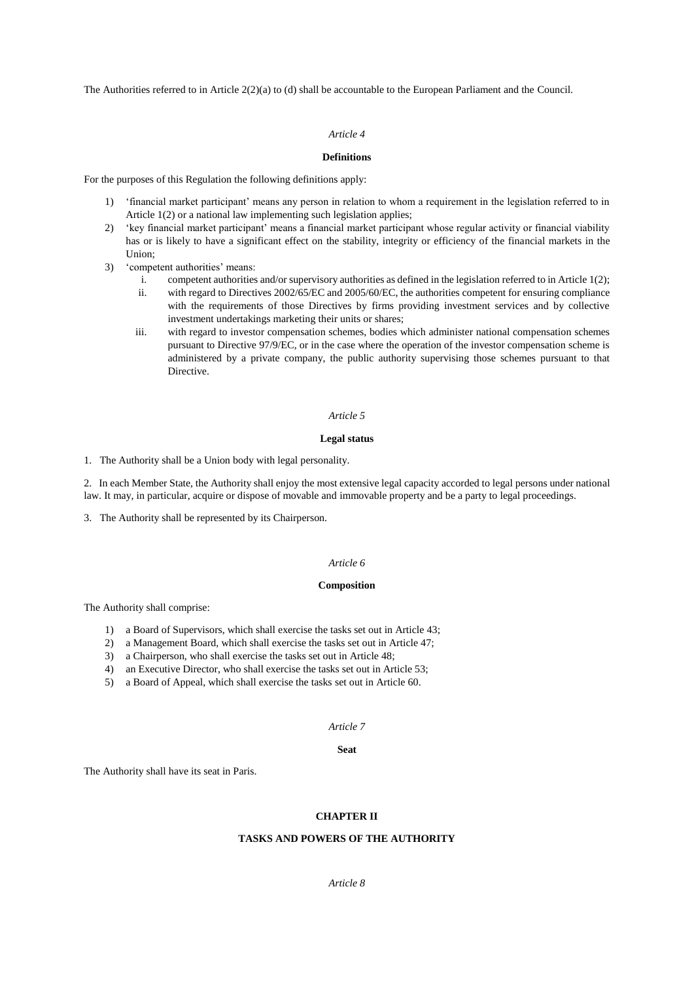The Authorities referred to in Article 2(2)(a) to (d) shall be accountable to the European Parliament and the Council.

## *Article 4*

## **Definitions**

For the purposes of this Regulation the following definitions apply:

- 1) 'financial market participant' means any person in relation to whom a requirement in the legislation referred to in Article 1(2) or a national law implementing such legislation applies;
- 2) 'key financial market participant' means a financial market participant whose regular activity or financial viability has or is likely to have a significant effect on the stability, integrity or efficiency of the financial markets in the Union;
- 3) 'competent authorities' means:
	- i. competent authorities and/or supervisory authorities as defined in the legislation referred to in Article 1(2);
	- ii. with regard to Directives 2002/65/EC and 2005/60/EC, the authorities competent for ensuring compliance with the requirements of those Directives by firms providing investment services and by collective investment undertakings marketing their units or shares;
	- iii. with regard to investor compensation schemes, bodies which administer national compensation schemes pursuant to Directive 97/9/EC, or in the case where the operation of the investor compensation scheme is administered by a private company, the public authority supervising those schemes pursuant to that Directive.

#### *Article 5*

## **Legal status**

1. The Authority shall be a Union body with legal personality.

2. In each Member State, the Authority shall enjoy the most extensive legal capacity accorded to legal persons under national law. It may, in particular, acquire or dispose of movable and immovable property and be a party to legal proceedings.

3. The Authority shall be represented by its Chairperson.

#### *Article 6*

### **Composition**

The Authority shall comprise:

- 1) a Board of Supervisors, which shall exercise the tasks set out in Article 43;
- 2) a Management Board, which shall exercise the tasks set out in Article 47;
- 3) a Chairperson, who shall exercise the tasks set out in Article 48;
- 4) an Executive Director, who shall exercise the tasks set out in Article 53;
- 5) a Board of Appeal, which shall exercise the tasks set out in Article 60.

## *Article 7*

#### **Seat**

The Authority shall have its seat in Paris.

#### **CHAPTER II**

## **TASKS AND POWERS OF THE AUTHORITY**

### *Article 8*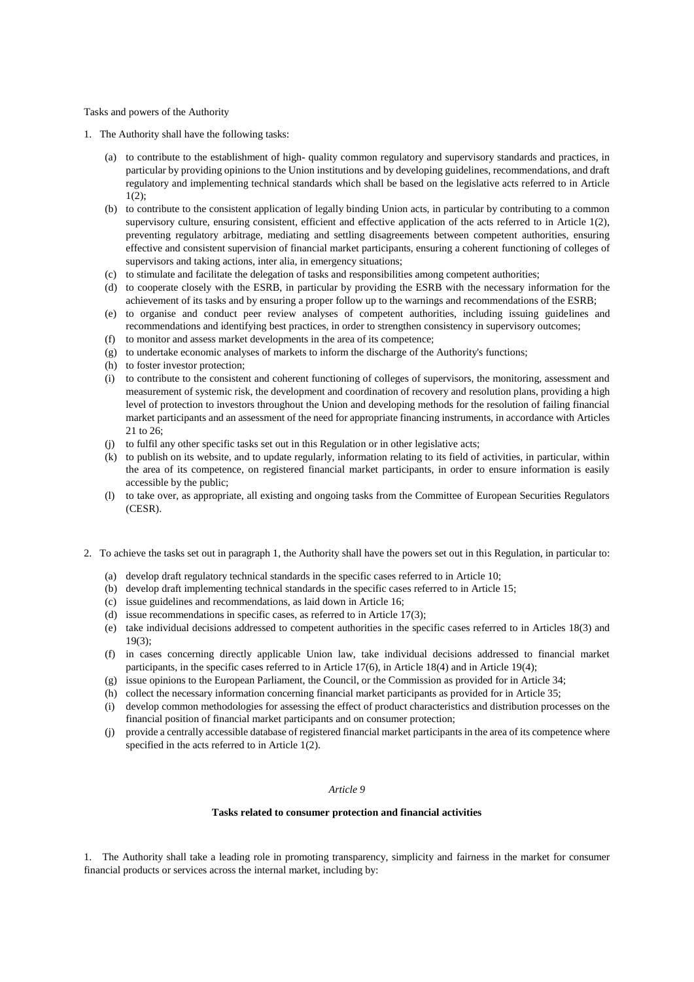Tasks and powers of the Authority

- 1. The Authority shall have the following tasks:
	- (a) to contribute to the establishment of high- quality common regulatory and supervisory standards and practices, in particular by providing opinions to the Union institutions and by developing guidelines, recommendations, and draft regulatory and implementing technical standards which shall be based on the legislative acts referred to in Article  $1(2)$ :
	- (b) to contribute to the consistent application of legally binding Union acts, in particular by contributing to a common supervisory culture, ensuring consistent, efficient and effective application of the acts referred to in Article 1(2), preventing regulatory arbitrage, mediating and settling disagreements between competent authorities, ensuring effective and consistent supervision of financial market participants, ensuring a coherent functioning of colleges of supervisors and taking actions, inter alia, in emergency situations;
	- (c) to stimulate and facilitate the delegation of tasks and responsibilities among competent authorities;
	- (d) to cooperate closely with the ESRB, in particular by providing the ESRB with the necessary information for the achievement of its tasks and by ensuring a proper follow up to the warnings and recommendations of the ESRB;
	- (e) to organise and conduct peer review analyses of competent authorities, including issuing guidelines and recommendations and identifying best practices, in order to strengthen consistency in supervisory outcomes;
	- (f) to monitor and assess market developments in the area of its competence;
	- (g) to undertake economic analyses of markets to inform the discharge of the Authority's functions;
	- (h) to foster investor protection;
	- (i) to contribute to the consistent and coherent functioning of colleges of supervisors, the monitoring, assessment and measurement of systemic risk, the development and coordination of recovery and resolution plans, providing a high level of protection to investors throughout the Union and developing methods for the resolution of failing financial market participants and an assessment of the need for appropriate financing instruments, in accordance with Articles 21 to 26;
	- (j) to fulfil any other specific tasks set out in this Regulation or in other legislative acts;
	- (k) to publish on its website, and to update regularly, information relating to its field of activities, in particular, within the area of its competence, on registered financial market participants, in order to ensure information is easily accessible by the public;
	- (l) to take over, as appropriate, all existing and ongoing tasks from the Committee of European Securities Regulators (CESR).
- 2. To achieve the tasks set out in paragraph 1, the Authority shall have the powers set out in this Regulation, in particular to:
	- (a) develop draft regulatory technical standards in the specific cases referred to in Article 10;
	- (b) develop draft implementing technical standards in the specific cases referred to in Article 15;
	- (c) issue guidelines and recommendations, as laid down in Article 16;
	- (d) issue recommendations in specific cases, as referred to in Article 17(3);
	- (e) take individual decisions addressed to competent authorities in the specific cases referred to in Articles 18(3) and 19(3);
	- (f) in cases concerning directly applicable Union law, take individual decisions addressed to financial market participants, in the specific cases referred to in Article 17(6), in Article 18(4) and in Article 19(4);
	- (g) issue opinions to the European Parliament, the Council, or the Commission as provided for in Article 34;
	- (h) collect the necessary information concerning financial market participants as provided for in Article 35;
	- (i) develop common methodologies for assessing the effect of product characteristics and distribution processes on the financial position of financial market participants and on consumer protection;
	- (j) provide a centrally accessible database of registered financial market participants in the area of its competence where specified in the acts referred to in Article 1(2).

## *Article 9*

#### **Tasks related to consumer protection and financial activities**

1. The Authority shall take a leading role in promoting transparency, simplicity and fairness in the market for consumer financial products or services across the internal market, including by: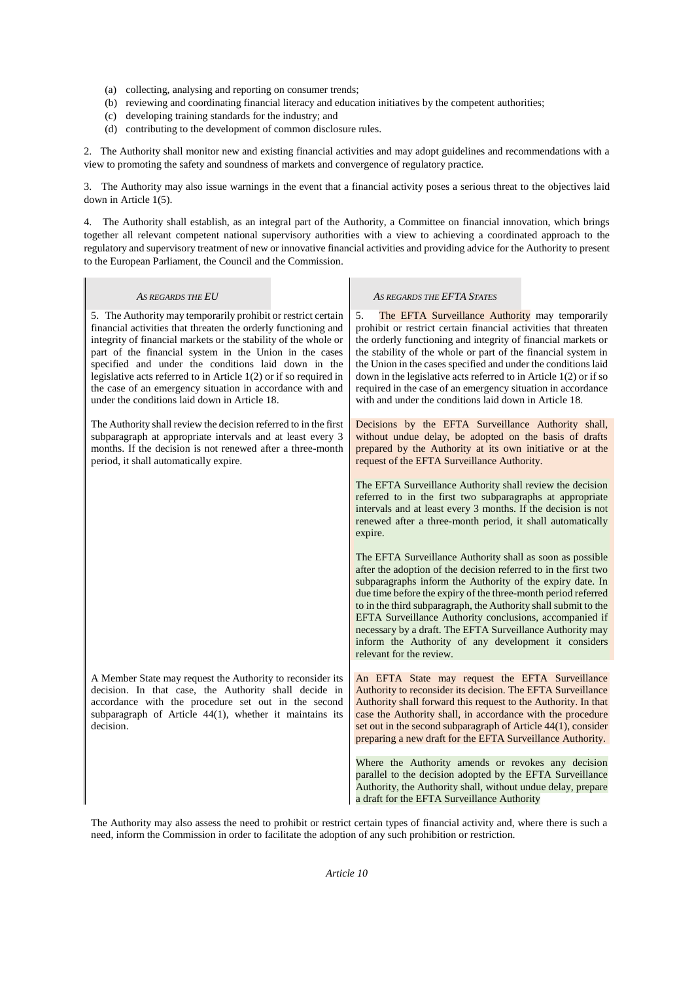- (a) collecting, analysing and reporting on consumer trends;
- (b) reviewing and coordinating financial literacy and education initiatives by the competent authorities;
- (c) developing training standards for the industry; and

 $\mathbf{I}$ 

(d) contributing to the development of common disclosure rules.

2. The Authority shall monitor new and existing financial activities and may adopt guidelines and recommendations with a view to promoting the safety and soundness of markets and convergence of regulatory practice.

3. The Authority may also issue warnings in the event that a financial activity poses a serious threat to the objectives laid down in Article 1(5).

4. The Authority shall establish, as an integral part of the Authority, a Committee on financial innovation, which brings together all relevant competent national supervisory authorities with a view to achieving a coordinated approach to the regulatory and supervisory treatment of new or innovative financial activities and providing advice for the Authority to present to the European Parliament, the Council and the Commission.

I.

| AS REGARDS THE EU                                                                                                                                                                                                                                                                                                                                                                                                                                                                                        | AS REGARDS THE EFTA STATES                                                                                                                                                                                                                                                                                                                                                                                                                                                                                                                |
|----------------------------------------------------------------------------------------------------------------------------------------------------------------------------------------------------------------------------------------------------------------------------------------------------------------------------------------------------------------------------------------------------------------------------------------------------------------------------------------------------------|-------------------------------------------------------------------------------------------------------------------------------------------------------------------------------------------------------------------------------------------------------------------------------------------------------------------------------------------------------------------------------------------------------------------------------------------------------------------------------------------------------------------------------------------|
| 5. The Authority may temporarily prohibit or restrict certain<br>financial activities that threaten the orderly functioning and<br>integrity of financial markets or the stability of the whole or<br>part of the financial system in the Union in the cases<br>specified and under the conditions laid down in the<br>legislative acts referred to in Article $1(2)$ or if so required in<br>the case of an emergency situation in accordance with and<br>under the conditions laid down in Article 18. | 5.<br>The EFTA Surveillance Authority may temporarily<br>prohibit or restrict certain financial activities that threaten<br>the orderly functioning and integrity of financial markets or<br>the stability of the whole or part of the financial system in<br>the Union in the cases specified and under the conditions laid<br>down in the legislative acts referred to in Article $1(2)$ or if so<br>required in the case of an emergency situation in accordance<br>with and under the conditions laid down in Article 18.             |
| The Authority shall review the decision referred to in the first<br>subparagraph at appropriate intervals and at least every 3<br>months. If the decision is not renewed after a three-month<br>period, it shall automatically expire.                                                                                                                                                                                                                                                                   | Decisions by the EFTA Surveillance Authority shall,<br>without undue delay, be adopted on the basis of drafts<br>prepared by the Authority at its own initiative or at the<br>request of the EFTA Surveillance Authority.                                                                                                                                                                                                                                                                                                                 |
|                                                                                                                                                                                                                                                                                                                                                                                                                                                                                                          | The EFTA Surveillance Authority shall review the decision<br>referred to in the first two subparagraphs at appropriate<br>intervals and at least every 3 months. If the decision is not<br>renewed after a three-month period, it shall automatically<br>expire.                                                                                                                                                                                                                                                                          |
|                                                                                                                                                                                                                                                                                                                                                                                                                                                                                                          | The EFTA Surveillance Authority shall as soon as possible<br>after the adoption of the decision referred to in the first two<br>subparagraphs inform the Authority of the expiry date. In<br>due time before the expiry of the three-month period referred<br>to in the third subparagraph, the Authority shall submit to the<br>EFTA Surveillance Authority conclusions, accompanied if<br>necessary by a draft. The EFTA Surveillance Authority may<br>inform the Authority of any development it considers<br>relevant for the review. |
| A Member State may request the Authority to reconsider its<br>decision. In that case, the Authority shall decide in<br>accordance with the procedure set out in the second<br>subparagraph of Article 44(1), whether it maintains its<br>decision.                                                                                                                                                                                                                                                       | An EFTA State may request the EFTA Surveillance<br>Authority to reconsider its decision. The EFTA Surveillance<br>Authority shall forward this request to the Authority. In that<br>case the Authority shall, in accordance with the procedure<br>set out in the second subparagraph of Article 44(1), consider<br>preparing a new draft for the EFTA Surveillance Authority.                                                                                                                                                             |
|                                                                                                                                                                                                                                                                                                                                                                                                                                                                                                          | Where the Authority amends or revokes any decision<br>parallel to the decision adopted by the EFTA Surveillance<br>Authority, the Authority shall, without undue delay, prepare<br>a draft for the EFTA Surveillance Authority                                                                                                                                                                                                                                                                                                            |

The Authority may also assess the need to prohibit or restrict certain types of financial activity and, where there is such a need, inform the Commission in order to facilitate the adoption of any such prohibition or restriction.

## *Article 10*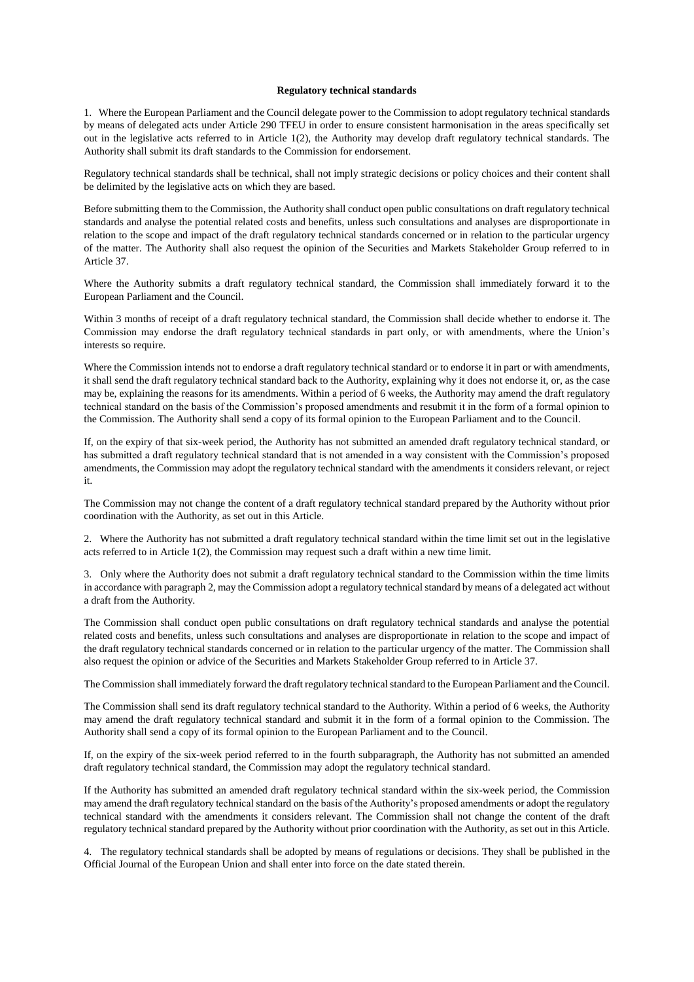#### **Regulatory technical standards**

1. Where the European Parliament and the Council delegate power to the Commission to adopt regulatory technical standards by means of delegated acts under Article 290 TFEU in order to ensure consistent harmonisation in the areas specifically set out in the legislative acts referred to in Article 1(2), the Authority may develop draft regulatory technical standards. The Authority shall submit its draft standards to the Commission for endorsement.

Regulatory technical standards shall be technical, shall not imply strategic decisions or policy choices and their content shall be delimited by the legislative acts on which they are based.

Before submitting them to the Commission, the Authority shall conduct open public consultations on draft regulatory technical standards and analyse the potential related costs and benefits, unless such consultations and analyses are disproportionate in relation to the scope and impact of the draft regulatory technical standards concerned or in relation to the particular urgency of the matter. The Authority shall also request the opinion of the Securities and Markets Stakeholder Group referred to in Article 37.

Where the Authority submits a draft regulatory technical standard, the Commission shall immediately forward it to the European Parliament and the Council.

Within 3 months of receipt of a draft regulatory technical standard, the Commission shall decide whether to endorse it. The Commission may endorse the draft regulatory technical standards in part only, or with amendments, where the Union's interests so require.

Where the Commission intends not to endorse a draft regulatory technical standard or to endorse it in part or with amendments, it shall send the draft regulatory technical standard back to the Authority, explaining why it does not endorse it, or, as the case may be, explaining the reasons for its amendments. Within a period of 6 weeks, the Authority may amend the draft regulatory technical standard on the basis of the Commission's proposed amendments and resubmit it in the form of a formal opinion to the Commission. The Authority shall send a copy of its formal opinion to the European Parliament and to the Council.

If, on the expiry of that six-week period, the Authority has not submitted an amended draft regulatory technical standard, or has submitted a draft regulatory technical standard that is not amended in a way consistent with the Commission's proposed amendments, the Commission may adopt the regulatory technical standard with the amendments it considers relevant, or reject it.

The Commission may not change the content of a draft regulatory technical standard prepared by the Authority without prior coordination with the Authority, as set out in this Article.

2. Where the Authority has not submitted a draft regulatory technical standard within the time limit set out in the legislative acts referred to in Article 1(2), the Commission may request such a draft within a new time limit.

3. Only where the Authority does not submit a draft regulatory technical standard to the Commission within the time limits in accordance with paragraph 2, may the Commission adopt a regulatory technical standard by means of a delegated act without a draft from the Authority.

The Commission shall conduct open public consultations on draft regulatory technical standards and analyse the potential related costs and benefits, unless such consultations and analyses are disproportionate in relation to the scope and impact of the draft regulatory technical standards concerned or in relation to the particular urgency of the matter. The Commission shall also request the opinion or advice of the Securities and Markets Stakeholder Group referred to in Article 37.

The Commission shall immediately forward the draft regulatory technical standard to the European Parliament and the Council.

The Commission shall send its draft regulatory technical standard to the Authority. Within a period of 6 weeks, the Authority may amend the draft regulatory technical standard and submit it in the form of a formal opinion to the Commission. The Authority shall send a copy of its formal opinion to the European Parliament and to the Council.

If, on the expiry of the six-week period referred to in the fourth subparagraph, the Authority has not submitted an amended draft regulatory technical standard, the Commission may adopt the regulatory technical standard.

If the Authority has submitted an amended draft regulatory technical standard within the six-week period, the Commission may amend the draft regulatory technical standard on the basis of the Authority's proposed amendments or adopt the regulatory technical standard with the amendments it considers relevant. The Commission shall not change the content of the draft regulatory technical standard prepared by the Authority without prior coordination with the Authority, as set out in this Article.

4. The regulatory technical standards shall be adopted by means of regulations or decisions. They shall be published in the Official Journal of the European Union and shall enter into force on the date stated therein.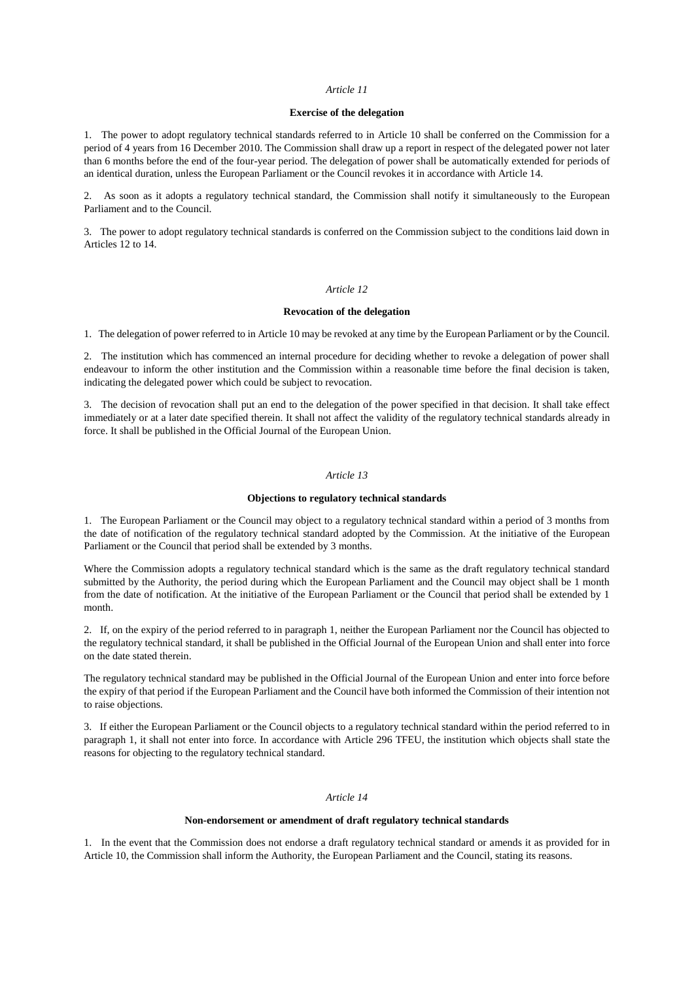#### *Article 11*

### **Exercise of the delegation**

1. The power to adopt regulatory technical standards referred to in Article 10 shall be conferred on the Commission for a period of 4 years from 16 December 2010. The Commission shall draw up a report in respect of the delegated power not later than 6 months before the end of the four-year period. The delegation of power shall be automatically extended for periods of an identical duration, unless the European Parliament or the Council revokes it in accordance with Article 14.

2. As soon as it adopts a regulatory technical standard, the Commission shall notify it simultaneously to the European Parliament and to the Council.

3. The power to adopt regulatory technical standards is conferred on the Commission subject to the conditions laid down in Articles 12 to 14.

## *Article 12*

#### **Revocation of the delegation**

1. The delegation of power referred to in Article 10 may be revoked at any time by the European Parliament or by the Council.

2. The institution which has commenced an internal procedure for deciding whether to revoke a delegation of power shall endeavour to inform the other institution and the Commission within a reasonable time before the final decision is taken, indicating the delegated power which could be subject to revocation.

3. The decision of revocation shall put an end to the delegation of the power specified in that decision. It shall take effect immediately or at a later date specified therein. It shall not affect the validity of the regulatory technical standards already in force. It shall be published in the Official Journal of the European Union.

#### *Article 13*

#### **Objections to regulatory technical standards**

1. The European Parliament or the Council may object to a regulatory technical standard within a period of 3 months from the date of notification of the regulatory technical standard adopted by the Commission. At the initiative of the European Parliament or the Council that period shall be extended by 3 months.

Where the Commission adopts a regulatory technical standard which is the same as the draft regulatory technical standard submitted by the Authority, the period during which the European Parliament and the Council may object shall be 1 month from the date of notification. At the initiative of the European Parliament or the Council that period shall be extended by 1 month.

2. If, on the expiry of the period referred to in paragraph 1, neither the European Parliament nor the Council has objected to the regulatory technical standard, it shall be published in the Official Journal of the European Union and shall enter into force on the date stated therein.

The regulatory technical standard may be published in the Official Journal of the European Union and enter into force before the expiry of that period if the European Parliament and the Council have both informed the Commission of their intention not to raise objections.

3. If either the European Parliament or the Council objects to a regulatory technical standard within the period referred to in paragraph 1, it shall not enter into force. In accordance with Article 296 TFEU, the institution which objects shall state the reasons for objecting to the regulatory technical standard.

## *Article 14*

#### **Non-endorsement or amendment of draft regulatory technical standards**

1. In the event that the Commission does not endorse a draft regulatory technical standard or amends it as provided for in Article 10, the Commission shall inform the Authority, the European Parliament and the Council, stating its reasons.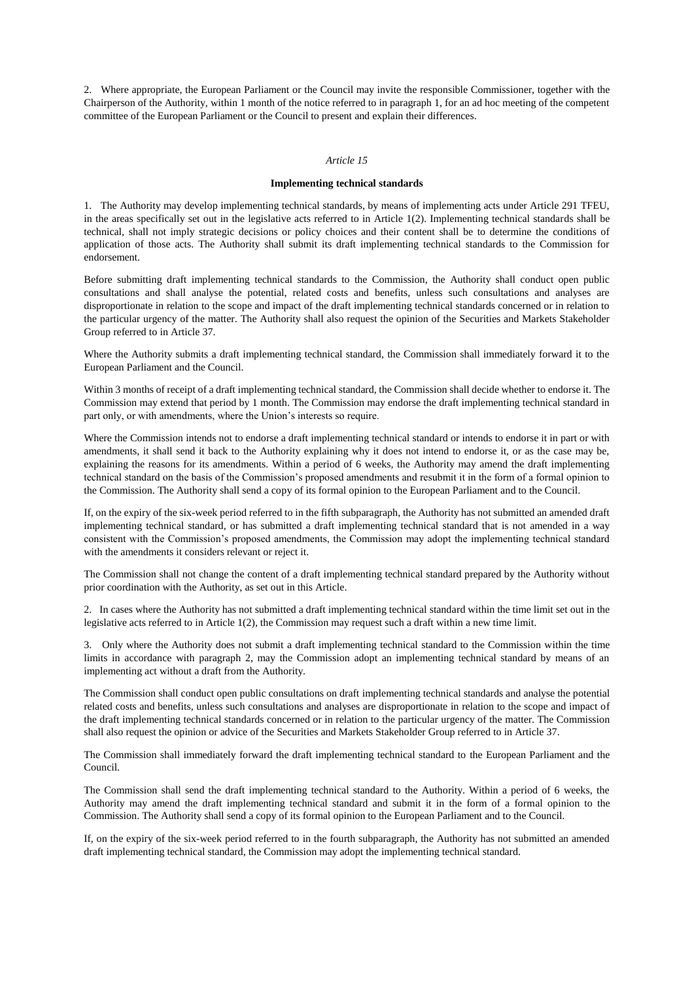2. Where appropriate, the European Parliament or the Council may invite the responsible Commissioner, together with the Chairperson of the Authority, within 1 month of the notice referred to in paragraph 1, for an ad hoc meeting of the competent committee of the European Parliament or the Council to present and explain their differences.

#### *Article 15*

### **Implementing technical standards**

1. The Authority may develop implementing technical standards, by means of implementing acts under Article 291 TFEU, in the areas specifically set out in the legislative acts referred to in Article 1(2). Implementing technical standards shall be technical, shall not imply strategic decisions or policy choices and their content shall be to determine the conditions of application of those acts. The Authority shall submit its draft implementing technical standards to the Commission for endorsement.

Before submitting draft implementing technical standards to the Commission, the Authority shall conduct open public consultations and shall analyse the potential, related costs and benefits, unless such consultations and analyses are disproportionate in relation to the scope and impact of the draft implementing technical standards concerned or in relation to the particular urgency of the matter. The Authority shall also request the opinion of the Securities and Markets Stakeholder Group referred to in Article 37.

Where the Authority submits a draft implementing technical standard, the Commission shall immediately forward it to the European Parliament and the Council.

Within 3 months of receipt of a draft implementing technical standard, the Commission shall decide whether to endorse it. The Commission may extend that period by 1 month. The Commission may endorse the draft implementing technical standard in part only, or with amendments, where the Union's interests so require.

Where the Commission intends not to endorse a draft implementing technical standard or intends to endorse it in part or with amendments, it shall send it back to the Authority explaining why it does not intend to endorse it, or as the case may be, explaining the reasons for its amendments. Within a period of 6 weeks, the Authority may amend the draft implementing technical standard on the basis of the Commission's proposed amendments and resubmit it in the form of a formal opinion to the Commission. The Authority shall send a copy of its formal opinion to the European Parliament and to the Council.

If, on the expiry of the six-week period referred to in the fifth subparagraph, the Authority has not submitted an amended draft implementing technical standard, or has submitted a draft implementing technical standard that is not amended in a way consistent with the Commission's proposed amendments, the Commission may adopt the implementing technical standard with the amendments it considers relevant or reject it.

The Commission shall not change the content of a draft implementing technical standard prepared by the Authority without prior coordination with the Authority, as set out in this Article.

2. In cases where the Authority has not submitted a draft implementing technical standard within the time limit set out in the legislative acts referred to in Article 1(2), the Commission may request such a draft within a new time limit.

3. Only where the Authority does not submit a draft implementing technical standard to the Commission within the time limits in accordance with paragraph 2, may the Commission adopt an implementing technical standard by means of an implementing act without a draft from the Authority.

The Commission shall conduct open public consultations on draft implementing technical standards and analyse the potential related costs and benefits, unless such consultations and analyses are disproportionate in relation to the scope and impact of the draft implementing technical standards concerned or in relation to the particular urgency of the matter. The Commission shall also request the opinion or advice of the Securities and Markets Stakeholder Group referred to in Article 37.

The Commission shall immediately forward the draft implementing technical standard to the European Parliament and the Council.

The Commission shall send the draft implementing technical standard to the Authority. Within a period of 6 weeks, the Authority may amend the draft implementing technical standard and submit it in the form of a formal opinion to the Commission. The Authority shall send a copy of its formal opinion to the European Parliament and to the Council.

If, on the expiry of the six-week period referred to in the fourth subparagraph, the Authority has not submitted an amended draft implementing technical standard, the Commission may adopt the implementing technical standard.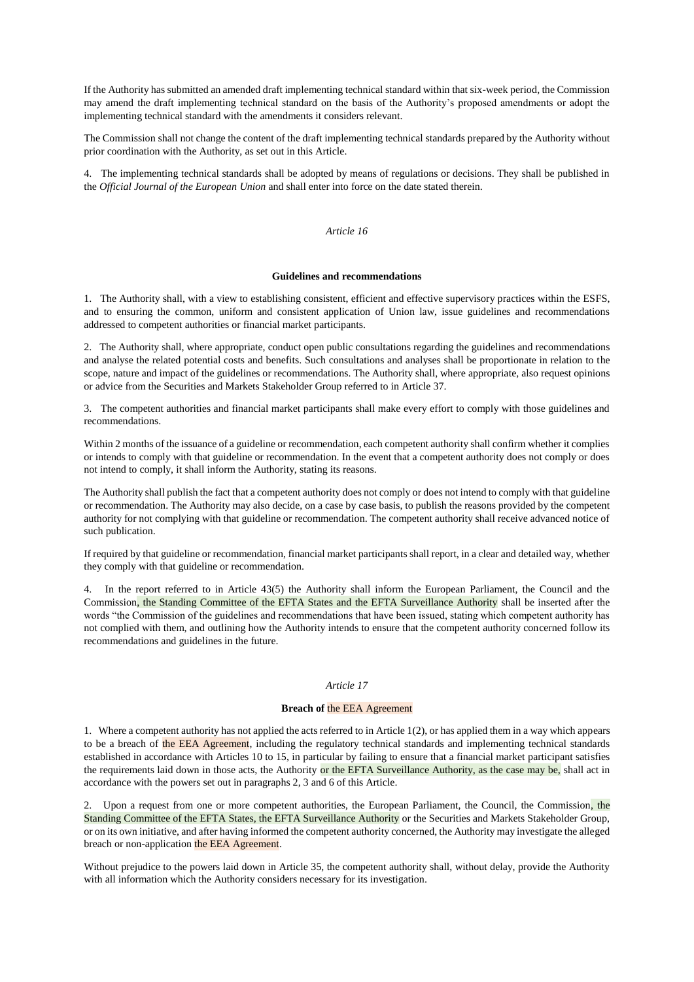If the Authority has submitted an amended draft implementing technical standard within that six-week period, the Commission may amend the draft implementing technical standard on the basis of the Authority's proposed amendments or adopt the implementing technical standard with the amendments it considers relevant.

The Commission shall not change the content of the draft implementing technical standards prepared by the Authority without prior coordination with the Authority, as set out in this Article.

4. The implementing technical standards shall be adopted by means of regulations or decisions. They shall be published in the *Official Journal of the European Union* and shall enter into force on the date stated therein.

#### *Article 16*

## **Guidelines and recommendations**

1. The Authority shall, with a view to establishing consistent, efficient and effective supervisory practices within the ESFS, and to ensuring the common, uniform and consistent application of Union law, issue guidelines and recommendations addressed to competent authorities or financial market participants.

2. The Authority shall, where appropriate, conduct open public consultations regarding the guidelines and recommendations and analyse the related potential costs and benefits. Such consultations and analyses shall be proportionate in relation to the scope, nature and impact of the guidelines or recommendations. The Authority shall, where appropriate, also request opinions or advice from the Securities and Markets Stakeholder Group referred to in Article 37.

3. The competent authorities and financial market participants shall make every effort to comply with those guidelines and recommendations.

Within 2 months of the issuance of a guideline or recommendation, each competent authority shall confirm whether it complies or intends to comply with that guideline or recommendation. In the event that a competent authority does not comply or does not intend to comply, it shall inform the Authority, stating its reasons.

The Authority shall publish the fact that a competent authority does not comply or does not intend to comply with that guideline or recommendation. The Authority may also decide, on a case by case basis, to publish the reasons provided by the competent authority for not complying with that guideline or recommendation. The competent authority shall receive advanced notice of such publication.

If required by that guideline or recommendation, financial market participants shall report, in a clear and detailed way, whether they comply with that guideline or recommendation.

4. In the report referred to in Article 43(5) the Authority shall inform the European Parliament, the Council and the Commission, the Standing Committee of the EFTA States and the EFTA Surveillance Authority shall be inserted after the words "the Commission of the guidelines and recommendations that have been issued, stating which competent authority has not complied with them, and outlining how the Authority intends to ensure that the competent authority concerned follow its recommendations and guidelines in the future.

## *Article 17*

## **Breach of** the EEA Agreement

1. Where a competent authority has not applied the acts referred to in Article 1(2), or has applied them in a way which appears to be a breach of the EEA Agreement, including the regulatory technical standards and implementing technical standards established in accordance with Articles 10 to 15, in particular by failing to ensure that a financial market participant satisfies the requirements laid down in those acts, the Authority or the EFTA Surveillance Authority, as the case may be, shall act in accordance with the powers set out in paragraphs 2, 3 and 6 of this Article.

2. Upon a request from one or more competent authorities, the European Parliament, the Council, the Commission, the Standing Committee of the EFTA States, the EFTA Surveillance Authority or the Securities and Markets Stakeholder Group, or on its own initiative, and after having informed the competent authority concerned, the Authority may investigate the alleged breach or non-application the EEA Agreement.

Without prejudice to the powers laid down in Article 35, the competent authority shall, without delay, provide the Authority with all information which the Authority considers necessary for its investigation.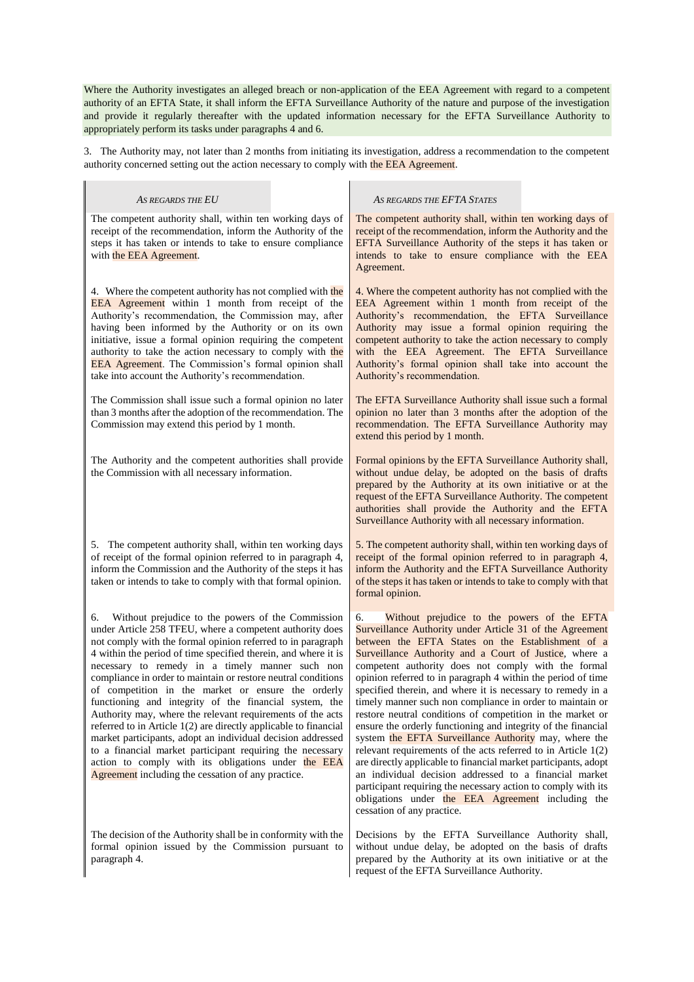Where the Authority investigates an alleged breach or non-application of the EEA Agreement with regard to a competent authority of an EFTA State, it shall inform the EFTA Surveillance Authority of the nature and purpose of the investigation and provide it regularly thereafter with the updated information necessary for the EFTA Surveillance Authority to appropriately perform its tasks under paragraphs 4 and 6.

3. The Authority may, not later than 2 months from initiating its investigation, address a recommendation to the competent authority concerned setting out the action necessary to comply with the EEA Agreement.

| AS REGARDS THE EU                                                                                                                                                                                                                                                                                                                                                                                                                                                                                                                                                                                                                                                                                                                                                                                                                                                   | AS REGARDS THE EFTA STATES                                                                                                                                                                                                                                                                                                                                                                                                                                                                                                                                                                                                                                                                                                                                                                                                                                                                                                                                                                                                  |
|---------------------------------------------------------------------------------------------------------------------------------------------------------------------------------------------------------------------------------------------------------------------------------------------------------------------------------------------------------------------------------------------------------------------------------------------------------------------------------------------------------------------------------------------------------------------------------------------------------------------------------------------------------------------------------------------------------------------------------------------------------------------------------------------------------------------------------------------------------------------|-----------------------------------------------------------------------------------------------------------------------------------------------------------------------------------------------------------------------------------------------------------------------------------------------------------------------------------------------------------------------------------------------------------------------------------------------------------------------------------------------------------------------------------------------------------------------------------------------------------------------------------------------------------------------------------------------------------------------------------------------------------------------------------------------------------------------------------------------------------------------------------------------------------------------------------------------------------------------------------------------------------------------------|
| The competent authority shall, within ten working days of<br>receipt of the recommendation, inform the Authority of the<br>steps it has taken or intends to take to ensure compliance<br>with the EEA Agreement.                                                                                                                                                                                                                                                                                                                                                                                                                                                                                                                                                                                                                                                    | The competent authority shall, within ten working days of<br>receipt of the recommendation, inform the Authority and the<br>EFTA Surveillance Authority of the steps it has taken or<br>intends to take to ensure compliance with the EEA<br>Agreement.                                                                                                                                                                                                                                                                                                                                                                                                                                                                                                                                                                                                                                                                                                                                                                     |
| 4. Where the competent authority has not complied with the<br>EEA Agreement within 1 month from receipt of the<br>Authority's recommendation, the Commission may, after<br>having been informed by the Authority or on its own<br>initiative, issue a formal opinion requiring the competent<br>authority to take the action necessary to comply with the<br><b>EEA Agreement</b> . The Commission's formal opinion shall<br>take into account the Authority's recommendation.                                                                                                                                                                                                                                                                                                                                                                                      | 4. Where the competent authority has not complied with the<br>EEA Agreement within 1 month from receipt of the<br>Authority's recommendation, the EFTA Surveillance<br>Authority may issue a formal opinion requiring the<br>competent authority to take the action necessary to comply<br>with the EEA Agreement. The EFTA Surveillance<br>Authority's formal opinion shall take into account the<br>Authority's recommendation.                                                                                                                                                                                                                                                                                                                                                                                                                                                                                                                                                                                           |
| The Commission shall issue such a formal opinion no later<br>than 3 months after the adoption of the recommendation. The<br>Commission may extend this period by 1 month.                                                                                                                                                                                                                                                                                                                                                                                                                                                                                                                                                                                                                                                                                           | The EFTA Surveillance Authority shall issue such a formal<br>opinion no later than 3 months after the adoption of the<br>recommendation. The EFTA Surveillance Authority may<br>extend this period by 1 month.                                                                                                                                                                                                                                                                                                                                                                                                                                                                                                                                                                                                                                                                                                                                                                                                              |
| The Authority and the competent authorities shall provide<br>the Commission with all necessary information.                                                                                                                                                                                                                                                                                                                                                                                                                                                                                                                                                                                                                                                                                                                                                         | Formal opinions by the EFTA Surveillance Authority shall,<br>without undue delay, be adopted on the basis of drafts<br>prepared by the Authority at its own initiative or at the<br>request of the EFTA Surveillance Authority. The competent<br>authorities shall provide the Authority and the EFTA<br>Surveillance Authority with all necessary information.                                                                                                                                                                                                                                                                                                                                                                                                                                                                                                                                                                                                                                                             |
| 5. The competent authority shall, within ten working days<br>of receipt of the formal opinion referred to in paragraph 4,<br>inform the Commission and the Authority of the steps it has<br>taken or intends to take to comply with that formal opinion.                                                                                                                                                                                                                                                                                                                                                                                                                                                                                                                                                                                                            | 5. The competent authority shall, within ten working days of<br>receipt of the formal opinion referred to in paragraph 4,<br>inform the Authority and the EFTA Surveillance Authority<br>of the steps it has taken or intends to take to comply with that<br>formal opinion.                                                                                                                                                                                                                                                                                                                                                                                                                                                                                                                                                                                                                                                                                                                                                |
| Without prejudice to the powers of the Commission<br>6.<br>under Article 258 TFEU, where a competent authority does<br>not comply with the formal opinion referred to in paragraph<br>4 within the period of time specified therein, and where it is<br>necessary to remedy in a timely manner such non<br>compliance in order to maintain or restore neutral conditions<br>of competition in the market or ensure the orderly<br>functioning and integrity of the financial system, the<br>Authority may, where the relevant requirements of the acts<br>referred to in Article 1(2) are directly applicable to financial<br>market participants, adopt an individual decision addressed<br>to a financial market participant requiring the necessary<br>action to comply with its obligations under the EEA<br>Agreement including the cessation of any practice. | 6.<br>Without prejudice to the powers of the EFTA<br>Surveillance Authority under Article 31 of the Agreement<br>between the EFTA States on the Establishment of a<br>Surveillance Authority and a Court of Justice, where a<br>competent authority does not comply with the formal<br>opinion referred to in paragraph 4 within the period of time<br>specified therein, and where it is necessary to remedy in a<br>timely manner such non compliance in order to maintain or<br>restore neutral conditions of competition in the market or<br>ensure the orderly functioning and integrity of the financial<br>system the EFTA Surveillance Authority may, where the<br>relevant requirements of the acts referred to in Article $1(2)$<br>are directly applicable to financial market participants, adopt<br>an individual decision addressed to a financial market<br>participant requiring the necessary action to comply with its<br>obligations under the EEA Agreement including the<br>cessation of any practice. |
| The decision of the Authority shall be in conformity with the<br>formal opinion issued by the Commission pursuant to                                                                                                                                                                                                                                                                                                                                                                                                                                                                                                                                                                                                                                                                                                                                                | Decisions by the EFTA Surveillance Authority shall,<br>without undue delay, be adopted on the basis of drafts                                                                                                                                                                                                                                                                                                                                                                                                                                                                                                                                                                                                                                                                                                                                                                                                                                                                                                               |

prepared by the Authority at its own initiative or at the

request of the EFTA Surveillance Authority.

paragraph 4.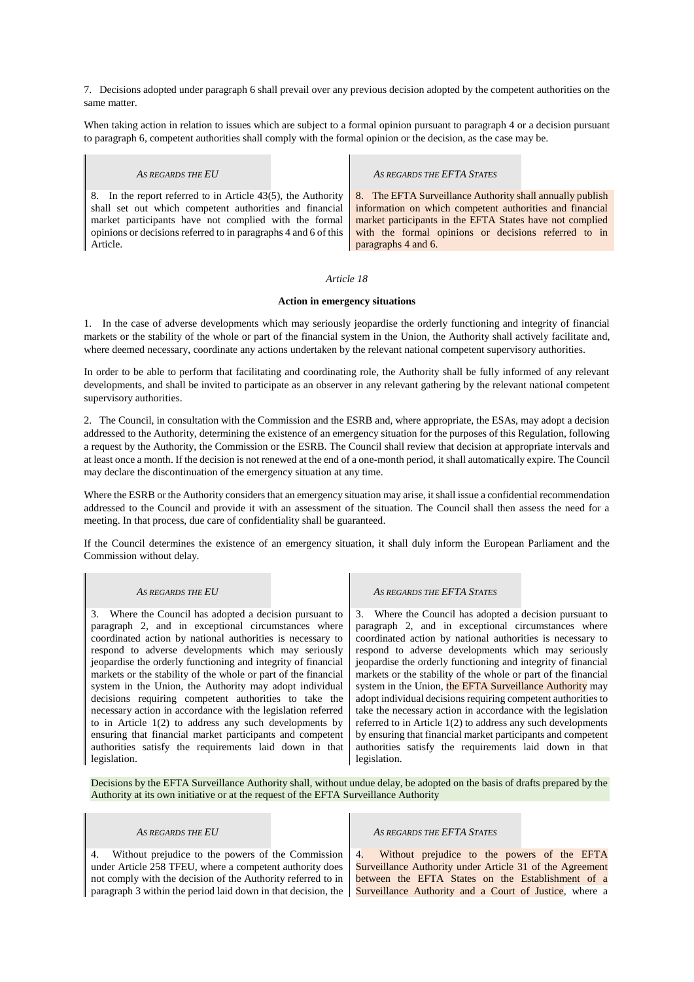7. Decisions adopted under paragraph 6 shall prevail over any previous decision adopted by the competent authorities on the same matter.

When taking action in relation to issues which are subject to a formal opinion pursuant to paragraph 4 or a decision pursuant to paragraph 6, competent authorities shall comply with the formal opinion or the decision, as the case may be.

 $\blacksquare$ 

| AS REGARDS THE EU                                               | AS REGARDS THE EFTA STATES                                |
|-----------------------------------------------------------------|-----------------------------------------------------------|
| 8. In the report referred to in Article 43(5), the Authority    | 8. The EFTA Surveillance Authority shall annually publish |
| shall set out which competent authorities and financial         | information on which competent authorities and financial  |
| market participants have not complied with the formal           | market participants in the EFTA States have not complied  |
| opinions or decisions referred to in paragraphs 4 and 6 of this | with the formal opinions or decisions referred to in      |
| Article.                                                        | paragraphs 4 and 6.                                       |

## *Article 18*

## **Action in emergency situations**

1. In the case of adverse developments which may seriously jeopardise the orderly functioning and integrity of financial markets or the stability of the whole or part of the financial system in the Union, the Authority shall actively facilitate and, where deemed necessary, coordinate any actions undertaken by the relevant national competent supervisory authorities.

In order to be able to perform that facilitating and coordinating role, the Authority shall be fully informed of any relevant developments, and shall be invited to participate as an observer in any relevant gathering by the relevant national competent supervisory authorities.

2. The Council, in consultation with the Commission and the ESRB and, where appropriate, the ESAs, may adopt a decision addressed to the Authority, determining the existence of an emergency situation for the purposes of this Regulation, following a request by the Authority, the Commission or the ESRB. The Council shall review that decision at appropriate intervals and at least once a month. If the decision is not renewed at the end of a one-month period, it shall automatically expire. The Council may declare the discontinuation of the emergency situation at any time.

Where the ESRB or the Authority considers that an emergency situation may arise, it shall issue a confidential recommendation addressed to the Council and provide it with an assessment of the situation. The Council shall then assess the need for a meeting. In that process, due care of confidentiality shall be guaranteed.

If the Council determines the existence of an emergency situation, it shall duly inform the European Parliament and the Commission without delay.

I.

 $\mathbf{I}$ 

| AS REGARDS THE EU                                              | AS REGARDS THE EFTA STATES                                     |
|----------------------------------------------------------------|----------------------------------------------------------------|
| 3. Where the Council has adopted a decision pursuant to        | 3. Where the Council has adopted a decision pursuant to        |
| paragraph 2, and in exceptional circumstances where            | paragraph 2, and in exceptional circumstances where            |
| coordinated action by national authorities is necessary to     | coordinated action by national authorities is necessary to     |
| respond to adverse developments which may seriously            | respond to adverse developments which may seriously            |
| jeopardise the orderly functioning and integrity of financial  | jeopardise the orderly functioning and integrity of financial  |
| markets or the stability of the whole or part of the financial | markets or the stability of the whole or part of the financial |
| system in the Union, the Authority may adopt individual        | system in the Union, the EFTA Surveillance Authority may       |
| decisions requiring competent authorities to take the          | adopt individual decisions requiring competent authorities to  |
| necessary action in accordance with the legislation referred   | take the necessary action in accordance with the legislation   |
| to in Article $1(2)$ to address any such developments by       | referred to in Article $1(2)$ to address any such developments |
| ensuring that financial market participants and competent      | by ensuring that financial market participants and competent   |
| authorities satisfy the requirements laid down in that         | authorities satisfy the requirements laid down in that         |
| legislation.                                                   | legislation.                                                   |

Decisions by the EFTA Surveillance Authority shall, without undue delay, be adopted on the basis of drafts prepared by the Authority at its own initiative or at the request of the EFTA Surveillance Authority

 $\mathbf{r}$ 

| AS REGARDS THE EU                                        | AS REGARDS THE EFTA STATES                                                                                                                                                                                                                                                          |
|----------------------------------------------------------|-------------------------------------------------------------------------------------------------------------------------------------------------------------------------------------------------------------------------------------------------------------------------------------|
| under Article 258 TFEU, where a competent authority does | 4. Without prejudice to the powers of the Commission 4. Without prejudice to the powers of the EFTA<br>Surveillance Authority under Article 31 of the Agreement<br>not comply with the decision of the Authority referred to in   between the EFTA States on the Establishment of a |
|                                                          | paragraph 3 within the period laid down in that decision, the Surveillance Authority and a Court of Justice, where a                                                                                                                                                                |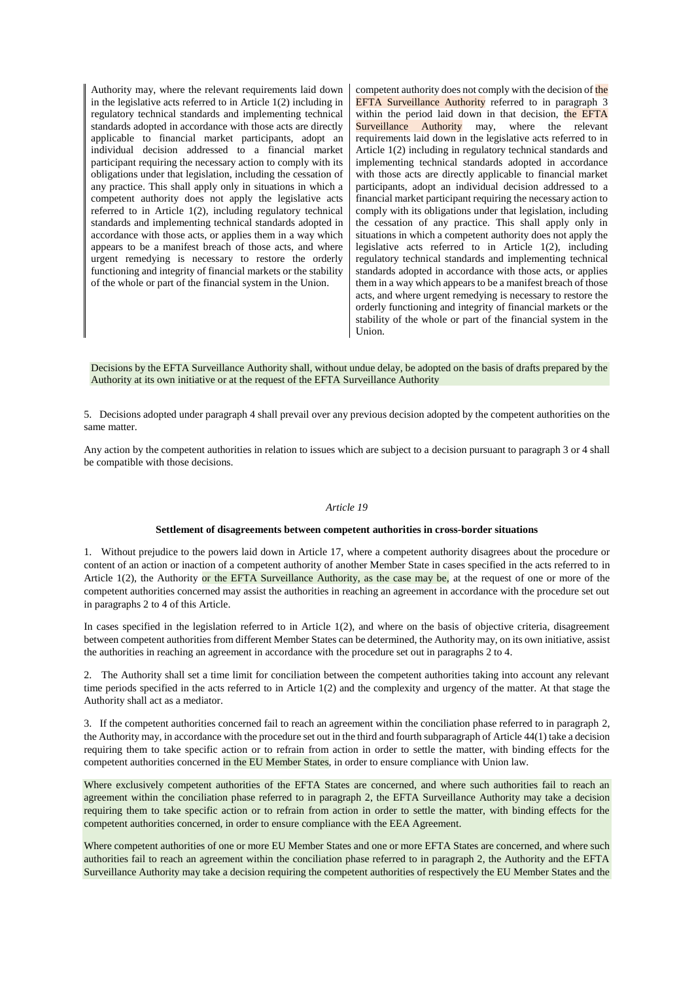Authority may, where the relevant requirements laid down in the legislative acts referred to in Article 1(2) including in regulatory technical standards and implementing technical standards adopted in accordance with those acts are directly applicable to financial market participants, adopt an individual decision addressed to a financial market participant requiring the necessary action to comply with its obligations under that legislation, including the cessation of any practice. This shall apply only in situations in which a competent authority does not apply the legislative acts referred to in Article 1(2), including regulatory technical standards and implementing technical standards adopted in accordance with those acts, or applies them in a way which appears to be a manifest breach of those acts, and where urgent remedying is necessary to restore the orderly functioning and integrity of financial markets or the stability of the whole or part of the financial system in the Union.

competent authority does not comply with the decision of the EFTA Surveillance Authority referred to in paragraph 3 within the period laid down in that decision, the EFTA Surveillance Authority may, where the relevant requirements laid down in the legislative acts referred to in Article 1(2) including in regulatory technical standards and implementing technical standards adopted in accordance with those acts are directly applicable to financial market participants, adopt an individual decision addressed to a financial market participant requiring the necessary action to comply with its obligations under that legislation, including the cessation of any practice. This shall apply only in situations in which a competent authority does not apply the legislative acts referred to in Article 1(2), including regulatory technical standards and implementing technical standards adopted in accordance with those acts, or applies them in a way which appears to be a manifest breach of those acts, and where urgent remedying is necessary to restore the orderly functioning and integrity of financial markets or the stability of the whole or part of the financial system in the Union.

Decisions by the EFTA Surveillance Authority shall, without undue delay, be adopted on the basis of drafts prepared by the Authority at its own initiative or at the request of the EFTA Surveillance Authority

5. Decisions adopted under paragraph 4 shall prevail over any previous decision adopted by the competent authorities on the same matter.

Any action by the competent authorities in relation to issues which are subject to a decision pursuant to paragraph 3 or 4 shall be compatible with those decisions.

### *Article 19*

#### **Settlement of disagreements between competent authorities in cross-border situations**

1. Without prejudice to the powers laid down in Article 17, where a competent authority disagrees about the procedure or content of an action or inaction of a competent authority of another Member State in cases specified in the acts referred to in Article 1(2), the Authority or the EFTA Surveillance Authority, as the case may be, at the request of one or more of the competent authorities concerned may assist the authorities in reaching an agreement in accordance with the procedure set out in paragraphs 2 to 4 of this Article.

In cases specified in the legislation referred to in Article 1(2), and where on the basis of objective criteria, disagreement between competent authorities from different Member States can be determined, the Authority may, on its own initiative, assist the authorities in reaching an agreement in accordance with the procedure set out in paragraphs 2 to 4.

2. The Authority shall set a time limit for conciliation between the competent authorities taking into account any relevant time periods specified in the acts referred to in Article 1(2) and the complexity and urgency of the matter. At that stage the Authority shall act as a mediator.

3. If the competent authorities concerned fail to reach an agreement within the conciliation phase referred to in paragraph 2, the Authority may, in accordance with the procedure set out in the third and fourth subparagraph of Article 44(1) take a decision requiring them to take specific action or to refrain from action in order to settle the matter, with binding effects for the competent authorities concerned in the EU Member States, in order to ensure compliance with Union law.

Where exclusively competent authorities of the EFTA States are concerned, and where such authorities fail to reach an agreement within the conciliation phase referred to in paragraph 2, the EFTA Surveillance Authority may take a decision requiring them to take specific action or to refrain from action in order to settle the matter, with binding effects for the competent authorities concerned, in order to ensure compliance with the EEA Agreement.

Where competent authorities of one or more EU Member States and one or more EFTA States are concerned, and where such authorities fail to reach an agreement within the conciliation phase referred to in paragraph 2, the Authority and the EFTA Surveillance Authority may take a decision requiring the competent authorities of respectively the EU Member States and the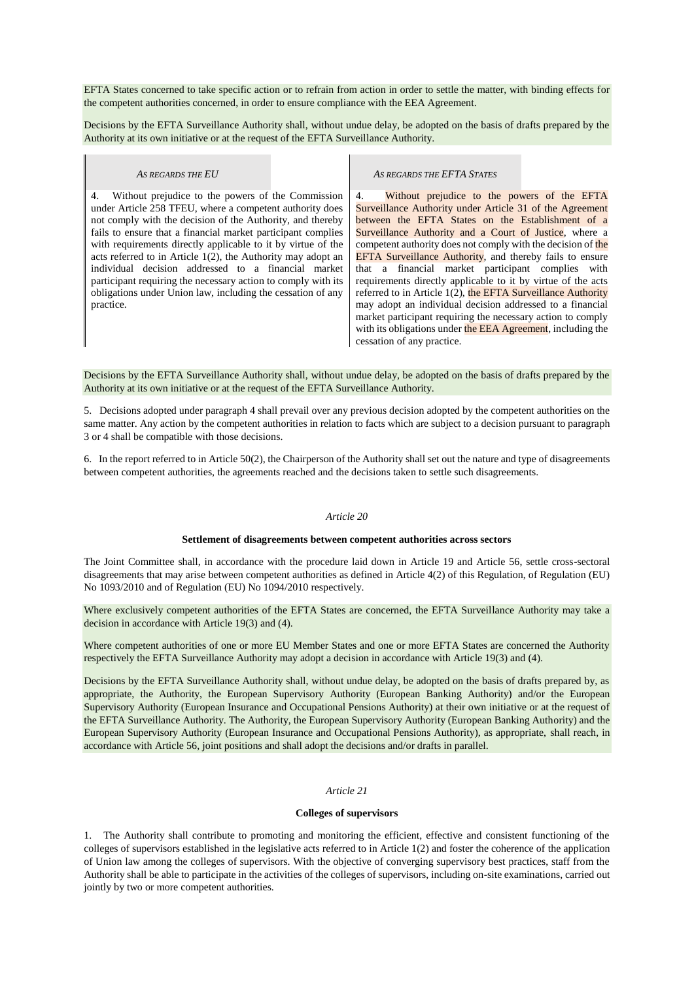EFTA States concerned to take specific action or to refrain from action in order to settle the matter, with binding effects for the competent authorities concerned, in order to ensure compliance with the EEA Agreement.

Decisions by the EFTA Surveillance Authority shall, without undue delay, be adopted on the basis of drafts prepared by the Authority at its own initiative or at the request of the EFTA Surveillance Authority.

I.

| AS REGARDS THE EU                                                                                                                                                                                                                                                                                                                                                                                                                                                                                                                                                                        | AS REGARDS THE EFTA STATES                                                                                                                                                                                                                                                                                                                                                                                                                                                                                                                                                                                                                                                                                                                                                    |
|------------------------------------------------------------------------------------------------------------------------------------------------------------------------------------------------------------------------------------------------------------------------------------------------------------------------------------------------------------------------------------------------------------------------------------------------------------------------------------------------------------------------------------------------------------------------------------------|-------------------------------------------------------------------------------------------------------------------------------------------------------------------------------------------------------------------------------------------------------------------------------------------------------------------------------------------------------------------------------------------------------------------------------------------------------------------------------------------------------------------------------------------------------------------------------------------------------------------------------------------------------------------------------------------------------------------------------------------------------------------------------|
| Without prejudice to the powers of the Commission<br>4.<br>under Article 258 TFEU, where a competent authority does<br>not comply with the decision of the Authority, and thereby<br>fails to ensure that a financial market participant complies<br>with requirements directly applicable to it by virtue of the<br>acts referred to in Article $1(2)$ , the Authority may adopt an<br>individual decision addressed to a financial market<br>participant requiring the necessary action to comply with its<br>obligations under Union law, including the cessation of any<br>practice. | Without prejudice to the powers of the EFTA<br>4.<br>Surveillance Authority under Article 31 of the Agreement<br>between the EFTA States on the Establishment of a<br>Surveillance Authority and a Court of Justice, where a<br>competent authority does not comply with the decision of the<br><b>EFTA Surveillance Authority, and thereby fails to ensure</b><br>that a financial market participant complies with<br>requirements directly applicable to it by virtue of the acts<br>referred to in Article 1(2), the EFTA Surveillance Authority<br>may adopt an individual decision addressed to a financial<br>market participant requiring the necessary action to comply<br>with its obligations under the EEA Agreement, including the<br>cessation of any practice. |

Decisions by the EFTA Surveillance Authority shall, without undue delay, be adopted on the basis of drafts prepared by the Authority at its own initiative or at the request of the EFTA Surveillance Authority.

5. Decisions adopted under paragraph 4 shall prevail over any previous decision adopted by the competent authorities on the same matter. Any action by the competent authorities in relation to facts which are subject to a decision pursuant to paragraph 3 or 4 shall be compatible with those decisions.

6. In the report referred to in Article 50(2), the Chairperson of the Authority shall set out the nature and type of disagreements between competent authorities, the agreements reached and the decisions taken to settle such disagreements.

#### *Article 20*

#### **Settlement of disagreements between competent authorities across sectors**

The Joint Committee shall, in accordance with the procedure laid down in Article 19 and Article 56, settle cross-sectoral disagreements that may arise between competent authorities as defined in Article 4(2) of this Regulation, of Regulation (EU) No 1093/2010 and of Regulation (EU) No 1094/2010 respectively.

Where exclusively competent authorities of the EFTA States are concerned, the EFTA Surveillance Authority may take a decision in accordance with Article 19(3) and (4).

Where competent authorities of one or more EU Member States and one or more EFTA States are concerned the Authority respectively the EFTA Surveillance Authority may adopt a decision in accordance with Article 19(3) and (4).

Decisions by the EFTA Surveillance Authority shall, without undue delay, be adopted on the basis of drafts prepared by, as appropriate, the Authority, the European Supervisory Authority (European Banking Authority) and/or the European Supervisory Authority (European Insurance and Occupational Pensions Authority) at their own initiative or at the request of the EFTA Surveillance Authority. The Authority, the European Supervisory Authority (European Banking Authority) and the European Supervisory Authority (European Insurance and Occupational Pensions Authority), as appropriate, shall reach, in accordance with Article 56, joint positions and shall adopt the decisions and/or drafts in parallel.

## *Article 21*

## **Colleges of supervisors**

1. The Authority shall contribute to promoting and monitoring the efficient, effective and consistent functioning of the colleges of supervisors established in the legislative acts referred to in Article 1(2) and foster the coherence of the application of Union law among the colleges of supervisors. With the objective of converging supervisory best practices, staff from the Authority shall be able to participate in the activities of the colleges of supervisors, including on-site examinations, carried out jointly by two or more competent authorities.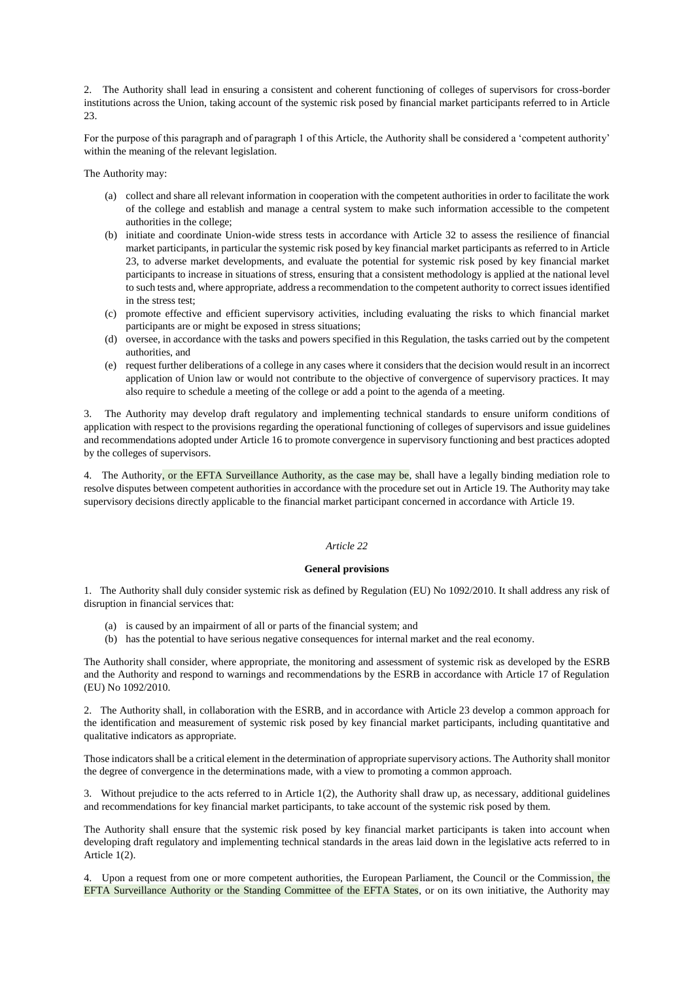2. The Authority shall lead in ensuring a consistent and coherent functioning of colleges of supervisors for cross-border institutions across the Union, taking account of the systemic risk posed by financial market participants referred to in Article 23.

For the purpose of this paragraph and of paragraph 1 of this Article, the Authority shall be considered a 'competent authority' within the meaning of the relevant legislation.

The Authority may:

- (a) collect and share all relevant information in cooperation with the competent authorities in order to facilitate the work of the college and establish and manage a central system to make such information accessible to the competent authorities in the college;
- (b) initiate and coordinate Union-wide stress tests in accordance with Article 32 to assess the resilience of financial market participants, in particular the systemic risk posed by key financial market participants as referred to in Article 23, to adverse market developments, and evaluate the potential for systemic risk posed by key financial market participants to increase in situations of stress, ensuring that a consistent methodology is applied at the national level to such tests and, where appropriate, address a recommendation to the competent authority to correct issues identified in the stress test;
- (c) promote effective and efficient supervisory activities, including evaluating the risks to which financial market participants are or might be exposed in stress situations;
- (d) oversee, in accordance with the tasks and powers specified in this Regulation, the tasks carried out by the competent authorities, and
- (e) request further deliberations of a college in any cases where it considers that the decision would result in an incorrect application of Union law or would not contribute to the objective of convergence of supervisory practices. It may also require to schedule a meeting of the college or add a point to the agenda of a meeting.

3. The Authority may develop draft regulatory and implementing technical standards to ensure uniform conditions of application with respect to the provisions regarding the operational functioning of colleges of supervisors and issue guidelines and recommendations adopted under Article 16 to promote convergence in supervisory functioning and best practices adopted by the colleges of supervisors.

4. The Authority, or the EFTA Surveillance Authority, as the case may be, shall have a legally binding mediation role to resolve disputes between competent authorities in accordance with the procedure set out in Article 19. The Authority may take supervisory decisions directly applicable to the financial market participant concerned in accordance with Article 19.

#### *Article 22*

#### **General provisions**

1. The Authority shall duly consider systemic risk as defined by Regulation (EU) No 1092/2010. It shall address any risk of disruption in financial services that:

- (a) is caused by an impairment of all or parts of the financial system; and
- (b) has the potential to have serious negative consequences for internal market and the real economy.

The Authority shall consider, where appropriate, the monitoring and assessment of systemic risk as developed by the ESRB and the Authority and respond to warnings and recommendations by the ESRB in accordance with Article 17 of Regulation (EU) No 1092/2010.

2. The Authority shall, in collaboration with the ESRB, and in accordance with Article 23 develop a common approach for the identification and measurement of systemic risk posed by key financial market participants, including quantitative and qualitative indicators as appropriate.

Those indicators shall be a critical element in the determination of appropriate supervisory actions. The Authority shall monitor the degree of convergence in the determinations made, with a view to promoting a common approach.

3. Without prejudice to the acts referred to in Article 1(2), the Authority shall draw up, as necessary, additional guidelines and recommendations for key financial market participants, to take account of the systemic risk posed by them.

The Authority shall ensure that the systemic risk posed by key financial market participants is taken into account when developing draft regulatory and implementing technical standards in the areas laid down in the legislative acts referred to in Article 1(2).

4. Upon a request from one or more competent authorities, the European Parliament, the Council or the Commission, the EFTA Surveillance Authority or the Standing Committee of the EFTA States, or on its own initiative, the Authority may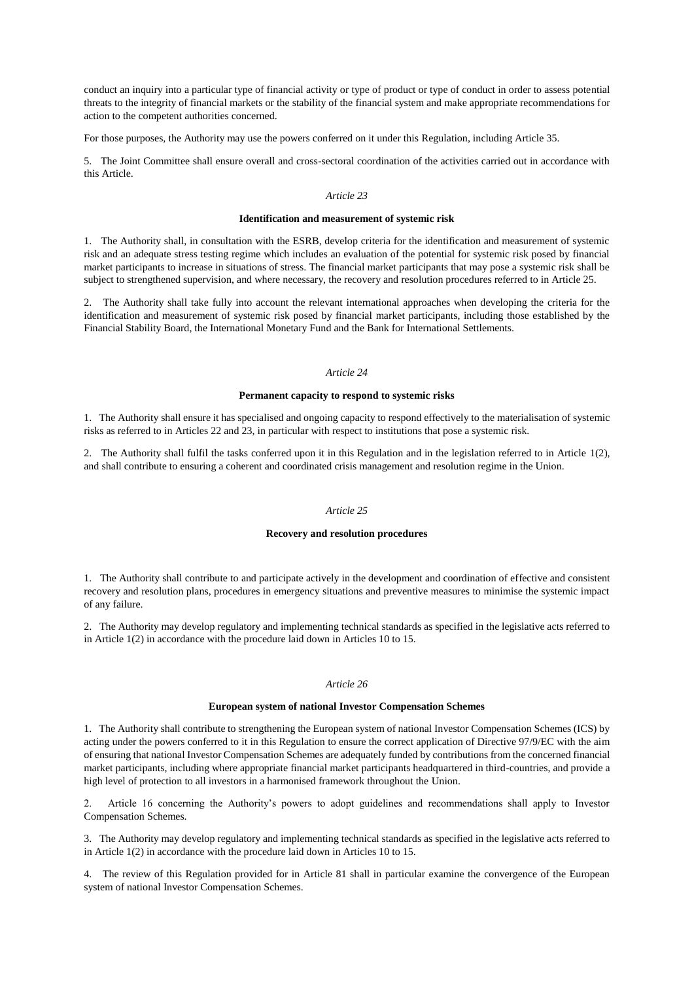conduct an inquiry into a particular type of financial activity or type of product or type of conduct in order to assess potential threats to the integrity of financial markets or the stability of the financial system and make appropriate recommendations for action to the competent authorities concerned.

For those purposes, the Authority may use the powers conferred on it under this Regulation, including Article 35.

5. The Joint Committee shall ensure overall and cross-sectoral coordination of the activities carried out in accordance with this Article.

## *Article 23*

#### **Identification and measurement of systemic risk**

1. The Authority shall, in consultation with the ESRB, develop criteria for the identification and measurement of systemic risk and an adequate stress testing regime which includes an evaluation of the potential for systemic risk posed by financial market participants to increase in situations of stress. The financial market participants that may pose a systemic risk shall be subject to strengthened supervision, and where necessary, the recovery and resolution procedures referred to in Article 25.

2. The Authority shall take fully into account the relevant international approaches when developing the criteria for the identification and measurement of systemic risk posed by financial market participants, including those established by the Financial Stability Board, the International Monetary Fund and the Bank for International Settlements.

#### *Article 24*

#### **Permanent capacity to respond to systemic risks**

1. The Authority shall ensure it has specialised and ongoing capacity to respond effectively to the materialisation of systemic risks as referred to in Articles 22 and 23, in particular with respect to institutions that pose a systemic risk.

2. The Authority shall fulfil the tasks conferred upon it in this Regulation and in the legislation referred to in Article 1(2), and shall contribute to ensuring a coherent and coordinated crisis management and resolution regime in the Union.

#### *Article 25*

## **Recovery and resolution procedures**

1. The Authority shall contribute to and participate actively in the development and coordination of effective and consistent recovery and resolution plans, procedures in emergency situations and preventive measures to minimise the systemic impact of any failure.

2. The Authority may develop regulatory and implementing technical standards as specified in the legislative acts referred to in Article 1(2) in accordance with the procedure laid down in Articles 10 to 15.

#### *Article 26*

#### **European system of national Investor Compensation Schemes**

1. The Authority shall contribute to strengthening the European system of national Investor Compensation Schemes (ICS) by acting under the powers conferred to it in this Regulation to ensure the correct application of Directive 97/9/EC with the aim of ensuring that national Investor Compensation Schemes are adequately funded by contributions from the concerned financial market participants, including where appropriate financial market participants headquartered in third-countries, and provide a high level of protection to all investors in a harmonised framework throughout the Union.

2. Article 16 concerning the Authority's powers to adopt guidelines and recommendations shall apply to Investor Compensation Schemes.

3. The Authority may develop regulatory and implementing technical standards as specified in the legislative acts referred to in Article 1(2) in accordance with the procedure laid down in Articles 10 to 15.

4. The review of this Regulation provided for in Article 81 shall in particular examine the convergence of the European system of national Investor Compensation Schemes.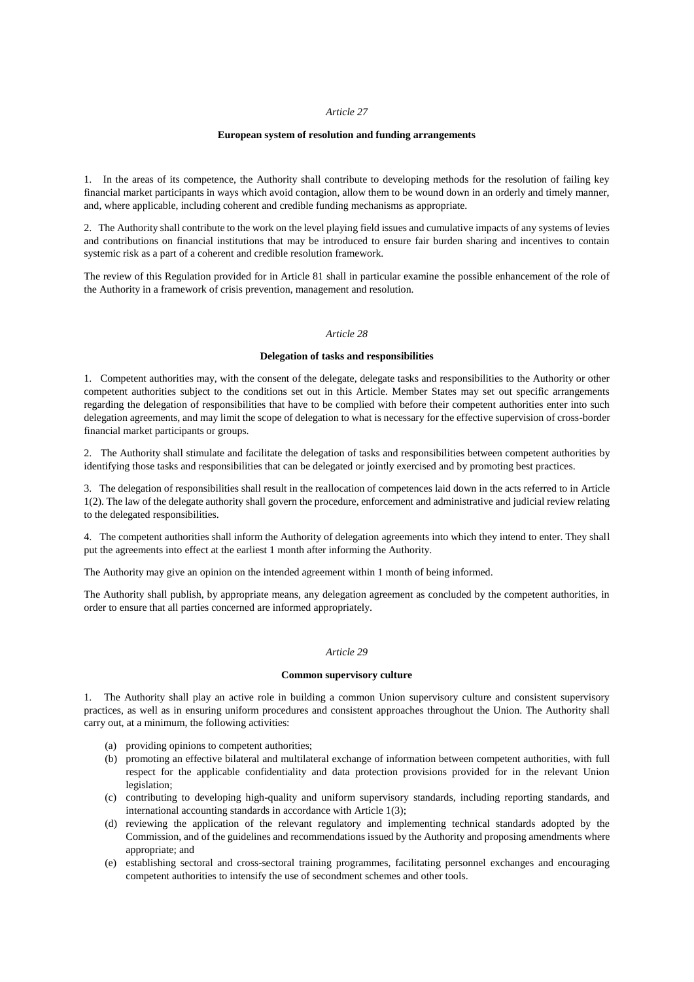#### *Article 27*

#### **European system of resolution and funding arrangements**

1. In the areas of its competence, the Authority shall contribute to developing methods for the resolution of failing key financial market participants in ways which avoid contagion, allow them to be wound down in an orderly and timely manner, and, where applicable, including coherent and credible funding mechanisms as appropriate.

2. The Authority shall contribute to the work on the level playing field issues and cumulative impacts of any systems of levies and contributions on financial institutions that may be introduced to ensure fair burden sharing and incentives to contain systemic risk as a part of a coherent and credible resolution framework.

The review of this Regulation provided for in Article 81 shall in particular examine the possible enhancement of the role of the Authority in a framework of crisis prevention, management and resolution.

#### *Article 28*

#### **Delegation of tasks and responsibilities**

1. Competent authorities may, with the consent of the delegate, delegate tasks and responsibilities to the Authority or other competent authorities subject to the conditions set out in this Article. Member States may set out specific arrangements regarding the delegation of responsibilities that have to be complied with before their competent authorities enter into such delegation agreements, and may limit the scope of delegation to what is necessary for the effective supervision of cross-border financial market participants or groups.

2. The Authority shall stimulate and facilitate the delegation of tasks and responsibilities between competent authorities by identifying those tasks and responsibilities that can be delegated or jointly exercised and by promoting best practices.

3. The delegation of responsibilities shall result in the reallocation of competences laid down in the acts referred to in Article 1(2). The law of the delegate authority shall govern the procedure, enforcement and administrative and judicial review relating to the delegated responsibilities.

4. The competent authorities shall inform the Authority of delegation agreements into which they intend to enter. They shall put the agreements into effect at the earliest 1 month after informing the Authority.

The Authority may give an opinion on the intended agreement within 1 month of being informed.

The Authority shall publish, by appropriate means, any delegation agreement as concluded by the competent authorities, in order to ensure that all parties concerned are informed appropriately.

#### *Article 29*

### **Common supervisory culture**

1. The Authority shall play an active role in building a common Union supervisory culture and consistent supervisory practices, as well as in ensuring uniform procedures and consistent approaches throughout the Union. The Authority shall carry out, at a minimum, the following activities:

- (a) providing opinions to competent authorities;
- (b) promoting an effective bilateral and multilateral exchange of information between competent authorities, with full respect for the applicable confidentiality and data protection provisions provided for in the relevant Union legislation;
- (c) contributing to developing high-quality and uniform supervisory standards, including reporting standards, and international accounting standards in accordance with Article 1(3);
- (d) reviewing the application of the relevant regulatory and implementing technical standards adopted by the Commission, and of the guidelines and recommendations issued by the Authority and proposing amendments where appropriate; and
- (e) establishing sectoral and cross-sectoral training programmes, facilitating personnel exchanges and encouraging competent authorities to intensify the use of secondment schemes and other tools.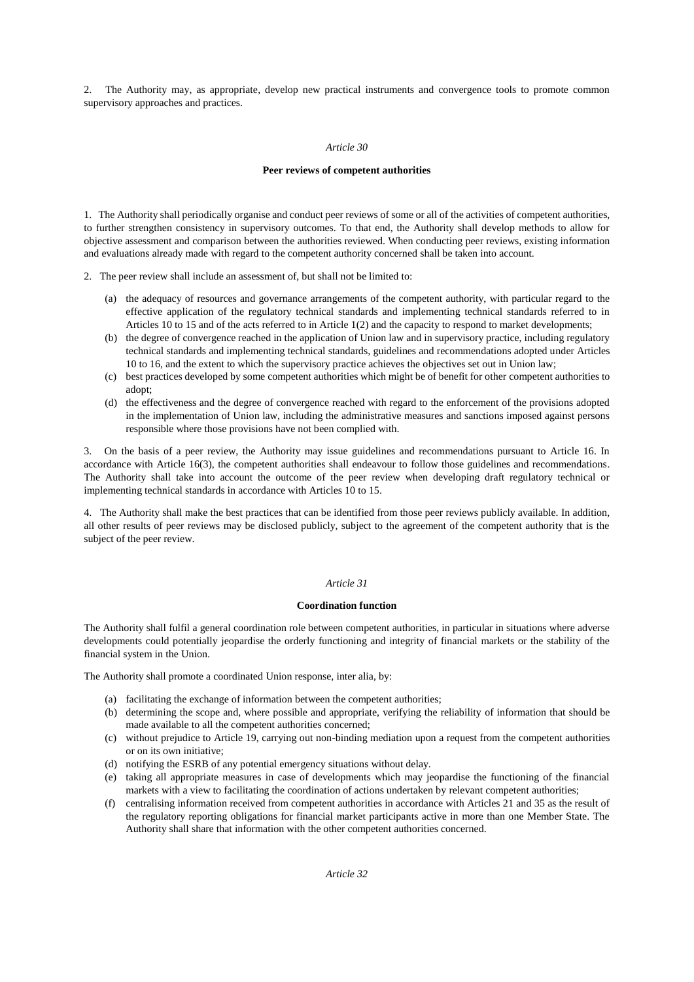2. The Authority may, as appropriate, develop new practical instruments and convergence tools to promote common supervisory approaches and practices.

#### *Article 30*

### **Peer reviews of competent authorities**

1. The Authority shall periodically organise and conduct peer reviews of some or all of the activities of competent authorities, to further strengthen consistency in supervisory outcomes. To that end, the Authority shall develop methods to allow for objective assessment and comparison between the authorities reviewed. When conducting peer reviews, existing information and evaluations already made with regard to the competent authority concerned shall be taken into account.

- 2. The peer review shall include an assessment of, but shall not be limited to:
	- (a) the adequacy of resources and governance arrangements of the competent authority, with particular regard to the effective application of the regulatory technical standards and implementing technical standards referred to in Articles 10 to 15 and of the acts referred to in Article 1(2) and the capacity to respond to market developments;
	- (b) the degree of convergence reached in the application of Union law and in supervisory practice, including regulatory technical standards and implementing technical standards, guidelines and recommendations adopted under Articles 10 to 16, and the extent to which the supervisory practice achieves the objectives set out in Union law;
	- (c) best practices developed by some competent authorities which might be of benefit for other competent authorities to adopt;
	- (d) the effectiveness and the degree of convergence reached with regard to the enforcement of the provisions adopted in the implementation of Union law, including the administrative measures and sanctions imposed against persons responsible where those provisions have not been complied with.

3. On the basis of a peer review, the Authority may issue guidelines and recommendations pursuant to Article 16. In accordance with Article 16(3), the competent authorities shall endeavour to follow those guidelines and recommendations. The Authority shall take into account the outcome of the peer review when developing draft regulatory technical or implementing technical standards in accordance with Articles 10 to 15.

4. The Authority shall make the best practices that can be identified from those peer reviews publicly available. In addition, all other results of peer reviews may be disclosed publicly, subject to the agreement of the competent authority that is the subject of the peer review.

## *Article 31*

### **Coordination function**

The Authority shall fulfil a general coordination role between competent authorities, in particular in situations where adverse developments could potentially jeopardise the orderly functioning and integrity of financial markets or the stability of the financial system in the Union.

The Authority shall promote a coordinated Union response, inter alia, by:

- (a) facilitating the exchange of information between the competent authorities;
- (b) determining the scope and, where possible and appropriate, verifying the reliability of information that should be made available to all the competent authorities concerned;
- (c) without prejudice to Article 19, carrying out non-binding mediation upon a request from the competent authorities or on its own initiative;
- (d) notifying the ESRB of any potential emergency situations without delay.
- (e) taking all appropriate measures in case of developments which may jeopardise the functioning of the financial markets with a view to facilitating the coordination of actions undertaken by relevant competent authorities;
- (f) centralising information received from competent authorities in accordance with Articles 21 and 35 as the result of the regulatory reporting obligations for financial market participants active in more than one Member State. The Authority shall share that information with the other competent authorities concerned.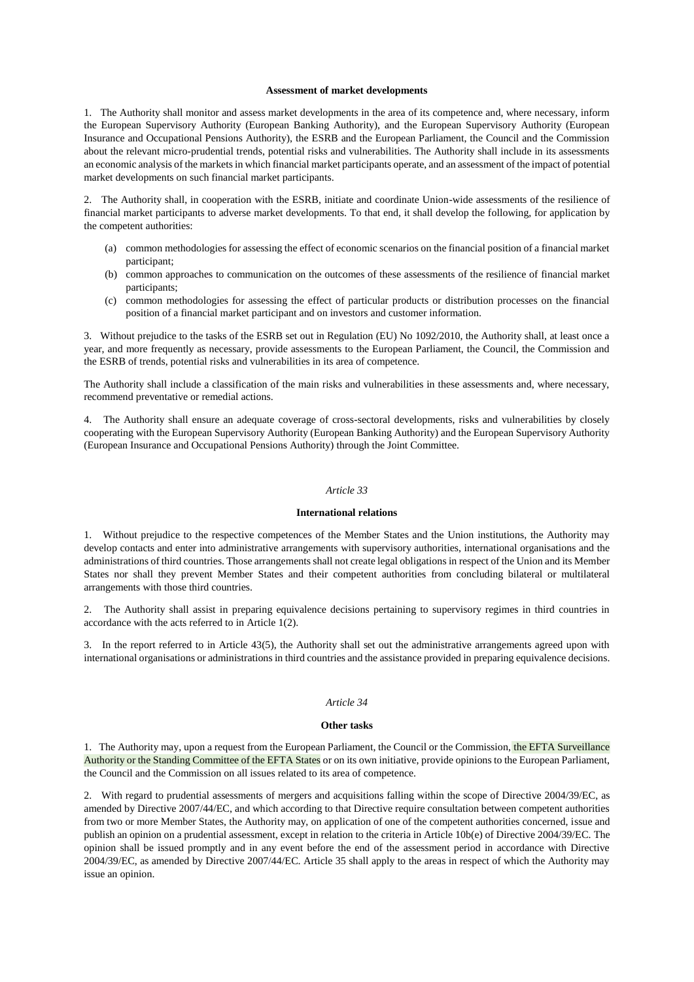#### **Assessment of market developments**

1. The Authority shall monitor and assess market developments in the area of its competence and, where necessary, inform the European Supervisory Authority (European Banking Authority), and the European Supervisory Authority (European Insurance and Occupational Pensions Authority), the ESRB and the European Parliament, the Council and the Commission about the relevant micro-prudential trends, potential risks and vulnerabilities. The Authority shall include in its assessments an economic analysis of the markets in which financial market participants operate, and an assessment of the impact of potential market developments on such financial market participants.

2. The Authority shall, in cooperation with the ESRB, initiate and coordinate Union-wide assessments of the resilience of financial market participants to adverse market developments. To that end, it shall develop the following, for application by the competent authorities:

- (a) common methodologies for assessing the effect of economic scenarios on the financial position of a financial market participant;
- (b) common approaches to communication on the outcomes of these assessments of the resilience of financial market participants;
- (c) common methodologies for assessing the effect of particular products or distribution processes on the financial position of a financial market participant and on investors and customer information.

3. Without prejudice to the tasks of the ESRB set out in Regulation (EU) No 1092/2010, the Authority shall, at least once a year, and more frequently as necessary, provide assessments to the European Parliament, the Council, the Commission and the ESRB of trends, potential risks and vulnerabilities in its area of competence.

The Authority shall include a classification of the main risks and vulnerabilities in these assessments and, where necessary, recommend preventative or remedial actions.

4. The Authority shall ensure an adequate coverage of cross-sectoral developments, risks and vulnerabilities by closely cooperating with the European Supervisory Authority (European Banking Authority) and the European Supervisory Authority (European Insurance and Occupational Pensions Authority) through the Joint Committee.

#### *Article 33*

#### **International relations**

1. Without prejudice to the respective competences of the Member States and the Union institutions, the Authority may develop contacts and enter into administrative arrangements with supervisory authorities, international organisations and the administrations of third countries. Those arrangements shall not create legal obligations in respect of the Union and its Member States nor shall they prevent Member States and their competent authorities from concluding bilateral or multilateral arrangements with those third countries.

2. The Authority shall assist in preparing equivalence decisions pertaining to supervisory regimes in third countries in accordance with the acts referred to in Article 1(2).

3. In the report referred to in Article 43(5), the Authority shall set out the administrative arrangements agreed upon with international organisations or administrations in third countries and the assistance provided in preparing equivalence decisions.

## *Article 34*

### **Other tasks**

1. The Authority may, upon a request from the European Parliament, the Council or the Commission, the EFTA Surveillance Authority or the Standing Committee of the EFTA States or on its own initiative, provide opinions to the European Parliament, the Council and the Commission on all issues related to its area of competence.

2. With regard to prudential assessments of mergers and acquisitions falling within the scope of Directive 2004/39/EC, as amended by Directive 2007/44/EC, and which according to that Directive require consultation between competent authorities from two or more Member States, the Authority may, on application of one of the competent authorities concerned, issue and publish an opinion on a prudential assessment, except in relation to the criteria in Article 10b(e) of Directive 2004/39/EC. The opinion shall be issued promptly and in any event before the end of the assessment period in accordance with Directive 2004/39/EC, as amended by Directive 2007/44/EC. Article 35 shall apply to the areas in respect of which the Authority may issue an opinion.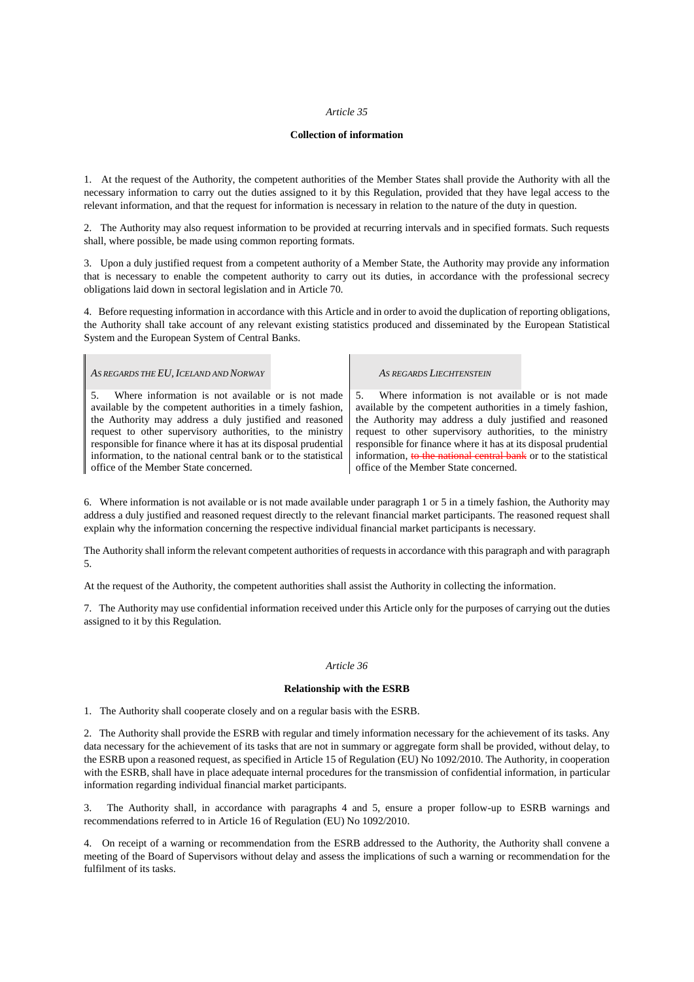#### *Article 35*

#### **Collection of information**

1. At the request of the Authority, the competent authorities of the Member States shall provide the Authority with all the necessary information to carry out the duties assigned to it by this Regulation, provided that they have legal access to the relevant information, and that the request for information is necessary in relation to the nature of the duty in question.

2. The Authority may also request information to be provided at recurring intervals and in specified formats. Such requests shall, where possible, be made using common reporting formats.

3. Upon a duly justified request from a competent authority of a Member State, the Authority may provide any information that is necessary to enable the competent authority to carry out its duties, in accordance with the professional secrecy obligations laid down in sectoral legislation and in Article 70.

4. Before requesting information in accordance with this Article and in order to avoid the duplication of reporting obligations, the Authority shall take account of any relevant existing statistics produced and disseminated by the European Statistical System and the European System of Central Banks.

*AS REGARDS THE EU,ICELAND AND NORWAY AS REGARDS LIECHTENSTEIN*

Where information is not available or is not made available by the competent authorities in a timely fashion, the Authority may address a duly justified and reasoned request to other supervisory authorities, to the ministry responsible for finance where it has at its disposal prudential information, to the national central bank or to the statistical office of the Member State concerned.

5. Where information is not available or is not made available by the competent authorities in a timely fashion, the Authority may address a duly justified and reasoned request to other supervisory authorities, to the ministry responsible for finance where it has at its disposal prudential information, to the national central bank or to the statistical office of the Member State concerned.

6. Where information is not available or is not made available under paragraph 1 or 5 in a timely fashion, the Authority may address a duly justified and reasoned request directly to the relevant financial market participants. The reasoned request shall explain why the information concerning the respective individual financial market participants is necessary.

The Authority shall inform the relevant competent authorities of requests in accordance with this paragraph and with paragraph 5.

At the request of the Authority, the competent authorities shall assist the Authority in collecting the information.

7. The Authority may use confidential information received under this Article only for the purposes of carrying out the duties assigned to it by this Regulation.

#### *Article 36*

#### **Relationship with the ESRB**

1. The Authority shall cooperate closely and on a regular basis with the ESRB.

2. The Authority shall provide the ESRB with regular and timely information necessary for the achievement of its tasks. Any data necessary for the achievement of its tasks that are not in summary or aggregate form shall be provided, without delay, to the ESRB upon a reasoned request, as specified in Article 15 of Regulation (EU) No 1092/2010. The Authority, in cooperation with the ESRB, shall have in place adequate internal procedures for the transmission of confidential information, in particular information regarding individual financial market participants.

3. The Authority shall, in accordance with paragraphs 4 and 5, ensure a proper follow-up to ESRB warnings and recommendations referred to in Article 16 of Regulation (EU) No 1092/2010.

4. On receipt of a warning or recommendation from the ESRB addressed to the Authority, the Authority shall convene a meeting of the Board of Supervisors without delay and assess the implications of such a warning or recommendation for the fulfilment of its tasks.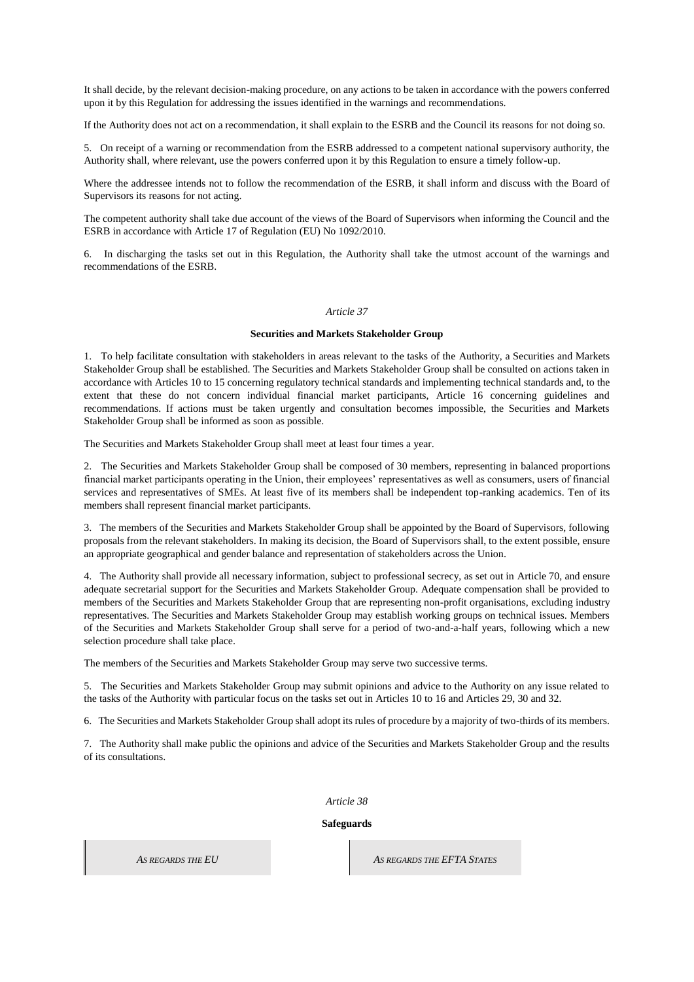It shall decide, by the relevant decision-making procedure, on any actions to be taken in accordance with the powers conferred upon it by this Regulation for addressing the issues identified in the warnings and recommendations.

If the Authority does not act on a recommendation, it shall explain to the ESRB and the Council its reasons for not doing so.

5. On receipt of a warning or recommendation from the ESRB addressed to a competent national supervisory authority, the Authority shall, where relevant, use the powers conferred upon it by this Regulation to ensure a timely follow-up.

Where the addressee intends not to follow the recommendation of the ESRB, it shall inform and discuss with the Board of Supervisors its reasons for not acting.

The competent authority shall take due account of the views of the Board of Supervisors when informing the Council and the ESRB in accordance with Article 17 of Regulation (EU) No 1092/2010.

6. In discharging the tasks set out in this Regulation, the Authority shall take the utmost account of the warnings and recommendations of the ESRB.

#### *Article 37*

#### **Securities and Markets Stakeholder Group**

1. To help facilitate consultation with stakeholders in areas relevant to the tasks of the Authority, a Securities and Markets Stakeholder Group shall be established. The Securities and Markets Stakeholder Group shall be consulted on actions taken in accordance with Articles 10 to 15 concerning regulatory technical standards and implementing technical standards and, to the extent that these do not concern individual financial market participants, Article 16 concerning guidelines and recommendations. If actions must be taken urgently and consultation becomes impossible, the Securities and Markets Stakeholder Group shall be informed as soon as possible.

The Securities and Markets Stakeholder Group shall meet at least four times a year.

2. The Securities and Markets Stakeholder Group shall be composed of 30 members, representing in balanced proportions financial market participants operating in the Union, their employees' representatives as well as consumers, users of financial services and representatives of SMEs. At least five of its members shall be independent top-ranking academics. Ten of its members shall represent financial market participants.

3. The members of the Securities and Markets Stakeholder Group shall be appointed by the Board of Supervisors, following proposals from the relevant stakeholders. In making its decision, the Board of Supervisors shall, to the extent possible, ensure an appropriate geographical and gender balance and representation of stakeholders across the Union.

4. The Authority shall provide all necessary information, subject to professional secrecy, as set out in Article 70, and ensure adequate secretarial support for the Securities and Markets Stakeholder Group. Adequate compensation shall be provided to members of the Securities and Markets Stakeholder Group that are representing non-profit organisations, excluding industry representatives. The Securities and Markets Stakeholder Group may establish working groups on technical issues. Members of the Securities and Markets Stakeholder Group shall serve for a period of two-and-a-half years, following which a new selection procedure shall take place.

The members of the Securities and Markets Stakeholder Group may serve two successive terms.

5. The Securities and Markets Stakeholder Group may submit opinions and advice to the Authority on any issue related to the tasks of the Authority with particular focus on the tasks set out in Articles 10 to 16 and Articles 29, 30 and 32.

6. The Securities and Markets Stakeholder Group shall adopt its rules of procedure by a majority of two-thirds of its members.

7. The Authority shall make public the opinions and advice of the Securities and Markets Stakeholder Group and the results of its consultations.

*Article 38*

#### **Safeguards**

*AS REGARDS THE EU AS REGARDS THE EFTA STATES*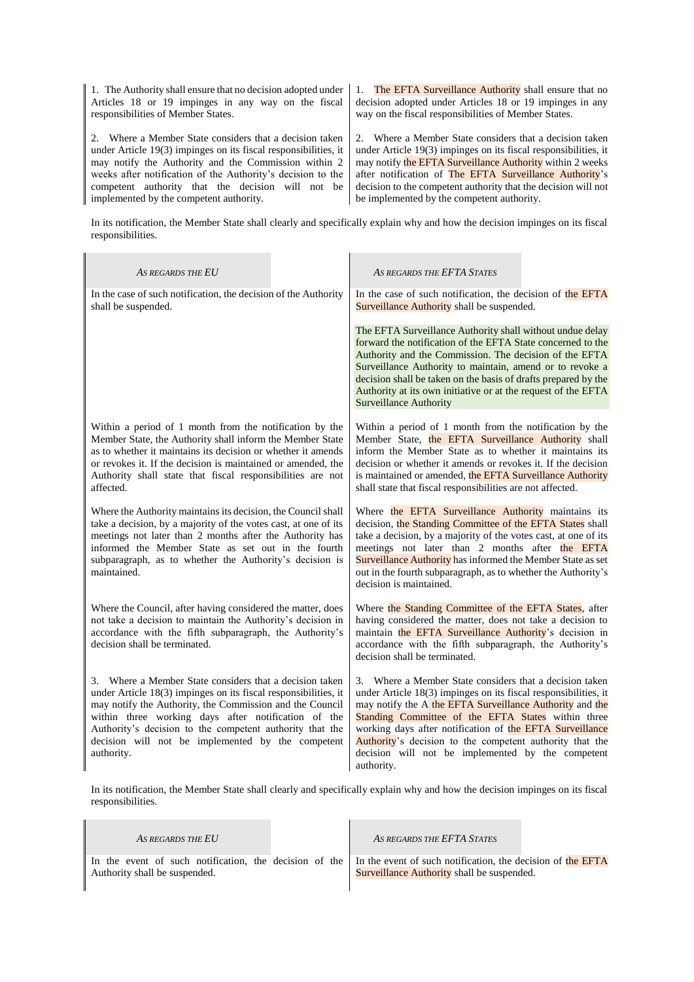1. The Authority shall ensure that no decision adopted under Articles 18 or 19 impinges in any way on the fiscal responsibilities of Member States.

2. Where a Member State considers that a decision taken under Article 19(3) impinges on its fiscal responsibilities, it may notify the Authority and the Commission within 2 weeks after notification of the Authority's decision to the competent authority that the decision will not be implemented by the competent authority.

1. The EFTA Surveillance Authority shall ensure that no decision adopted under Articles 18 or 19 impinges in any way on the fiscal responsibilities of Member States.

2. Where a Member State considers that a decision taken under Article 19(3) impinges on its fiscal responsibilities, it may notify the EFTA Surveillance Authority within 2 weeks after notification of The EFTA Surveillance Authority's decision to the competent authority that the decision will not be implemented by the competent authority.

In its notification, the Member State shall clearly and specifically explain why and how the decision impinges on its fiscal responsibilities.

| AS REGARDS THE EU                                                                                                                                                                                                                                                                                                                                                            | AS REGARDS THE EFTA STATES                                                                                                                                                                                                                                                                                                                                                                                                              |
|------------------------------------------------------------------------------------------------------------------------------------------------------------------------------------------------------------------------------------------------------------------------------------------------------------------------------------------------------------------------------|-----------------------------------------------------------------------------------------------------------------------------------------------------------------------------------------------------------------------------------------------------------------------------------------------------------------------------------------------------------------------------------------------------------------------------------------|
| In the case of such notification, the decision of the Authority<br>shall be suspended.                                                                                                                                                                                                                                                                                       | In the case of such notification, the decision of the EFTA<br>Surveillance Authority shall be suspended.                                                                                                                                                                                                                                                                                                                                |
|                                                                                                                                                                                                                                                                                                                                                                              | The EFTA Surveillance Authority shall without undue delay<br>forward the notification of the EFTA State concerned to the<br>Authority and the Commission. The decision of the EFTA<br>Surveillance Authority to maintain, amend or to revoke a<br>decision shall be taken on the basis of drafts prepared by the<br>Authority at its own initiative or at the request of the EFTA<br><b>Surveillance Authority</b>                      |
| Within a period of 1 month from the notification by the<br>Member State, the Authority shall inform the Member State<br>as to whether it maintains its decision or whether it amends<br>or revokes it. If the decision is maintained or amended, the<br>Authority shall state that fiscal responsibilities are not<br>affected.                                              | Within a period of 1 month from the notification by the<br>Member State, the EFTA Surveillance Authority shall<br>inform the Member State as to whether it maintains its<br>decision or whether it amends or revokes it. If the decision<br>is maintained or amended, the EFTA Surveillance Authority<br>shall state that fiscal responsibilities are not affected.                                                                     |
| Where the Authority maintains its decision, the Council shall<br>take a decision, by a majority of the votes cast, at one of its<br>meetings not later than 2 months after the Authority has<br>informed the Member State as set out in the fourth<br>subparagraph, as to whether the Authority's decision is<br>maintained.                                                 | Where the EFTA Surveillance Authority maintains its<br>decision, the Standing Committee of the EFTA States shall<br>take a decision, by a majority of the votes cast, at one of its<br>meetings not later than 2 months after the EFTA<br>Surveillance Authority has informed the Member State as set<br>out in the fourth subparagraph, as to whether the Authority's<br>decision is maintained.                                       |
| Where the Council, after having considered the matter, does<br>not take a decision to maintain the Authority's decision in<br>accordance with the fifth subparagraph, the Authority's<br>decision shall be terminated.                                                                                                                                                       | Where the Standing Committee of the EFTA States, after<br>having considered the matter, does not take a decision to<br>maintain the EFTA Surveillance Authority's decision in<br>accordance with the fifth subparagraph, the Authority's<br>decision shall be terminated.                                                                                                                                                               |
| 3. Where a Member State considers that a decision taken<br>under Article 18(3) impinges on its fiscal responsibilities, it<br>may notify the Authority, the Commission and the Council<br>within three working days after notification of the<br>Authority's decision to the competent authority that the<br>decision will not be implemented by the competent<br>authority. | 3. Where a Member State considers that a decision taken<br>under Article 18(3) impinges on its fiscal responsibilities, it<br>may notify the A the EFTA Surveillance Authority and the<br>Standing Committee of the EFTA States within three<br>working days after notification of the EFTA Surveillance<br>Authority's decision to the competent authority that the<br>decision will not be implemented by the competent<br>authority. |

In its notification, the Member State shall clearly and specifically explain why and how the decision impinges on its fiscal responsibilities.

i.

| AS REGARDS THE EU                                                                                                                                   | AS REGARDS THE EFTA STATES                 |  |
|-----------------------------------------------------------------------------------------------------------------------------------------------------|--------------------------------------------|--|
| In the event of such notification, the decision of the In the event of such notification, the decision of the EFTA<br>Authority shall be suspended. | Surveillance Authority shall be suspended. |  |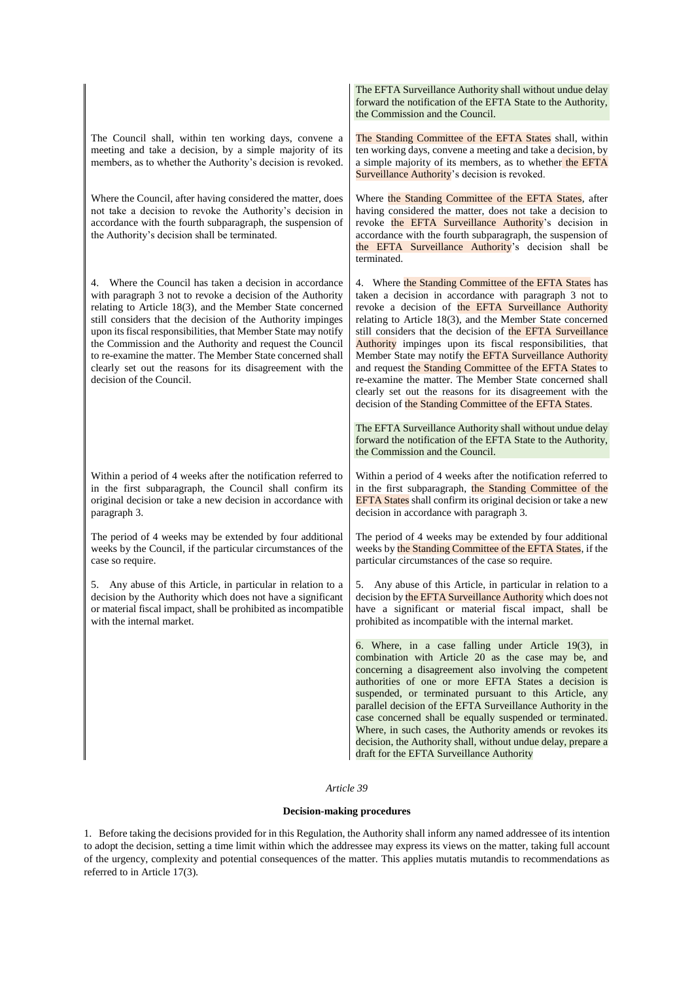|                                                                                                                                                                                                                                                                                                                                                                                                                                                                                                                                           | The EFTA Surveillance Authority shall without undue delay<br>forward the notification of the EFTA State to the Authority,<br>the Commission and the Council.                                                                                                                                                                                                                                                                                                                                                                                                                                                                                                              |
|-------------------------------------------------------------------------------------------------------------------------------------------------------------------------------------------------------------------------------------------------------------------------------------------------------------------------------------------------------------------------------------------------------------------------------------------------------------------------------------------------------------------------------------------|---------------------------------------------------------------------------------------------------------------------------------------------------------------------------------------------------------------------------------------------------------------------------------------------------------------------------------------------------------------------------------------------------------------------------------------------------------------------------------------------------------------------------------------------------------------------------------------------------------------------------------------------------------------------------|
| The Council shall, within ten working days, convene a<br>meeting and take a decision, by a simple majority of its<br>members, as to whether the Authority's decision is revoked.                                                                                                                                                                                                                                                                                                                                                          | The Standing Committee of the EFTA States shall, within<br>ten working days, convene a meeting and take a decision, by<br>a simple majority of its members, as to whether the EFTA<br>Surveillance Authority's decision is revoked.                                                                                                                                                                                                                                                                                                                                                                                                                                       |
| Where the Council, after having considered the matter, does<br>not take a decision to revoke the Authority's decision in<br>accordance with the fourth subparagraph, the suspension of<br>the Authority's decision shall be terminated.                                                                                                                                                                                                                                                                                                   | Where the Standing Committee of the EFTA States, after<br>having considered the matter, does not take a decision to<br>revoke the EFTA Surveillance Authority's decision in<br>accordance with the fourth subparagraph, the suspension of<br>the EFTA Surveillance Authority's decision shall be<br>terminated.                                                                                                                                                                                                                                                                                                                                                           |
| Where the Council has taken a decision in accordance<br>4.<br>with paragraph 3 not to revoke a decision of the Authority<br>relating to Article 18(3), and the Member State concerned<br>still considers that the decision of the Authority impinges<br>upon its fiscal responsibilities, that Member State may notify<br>the Commission and the Authority and request the Council<br>to re-examine the matter. The Member State concerned shall<br>clearly set out the reasons for its disagreement with the<br>decision of the Council. | 4. Where the Standing Committee of the EFTA States has<br>taken a decision in accordance with paragraph 3 not to<br>revoke a decision of the EFTA Surveillance Authority<br>relating to Article 18(3), and the Member State concerned<br>still considers that the decision of the EFTA Surveillance<br>Authority impinges upon its fiscal responsibilities, that<br>Member State may notify the EFTA Surveillance Authority<br>and request the Standing Committee of the EFTA States to<br>re-examine the matter. The Member State concerned shall<br>clearly set out the reasons for its disagreement with the<br>decision of the Standing Committee of the EFTA States. |
|                                                                                                                                                                                                                                                                                                                                                                                                                                                                                                                                           | The EFTA Surveillance Authority shall without undue delay<br>forward the notification of the EFTA State to the Authority,<br>the Commission and the Council.                                                                                                                                                                                                                                                                                                                                                                                                                                                                                                              |
| Within a period of 4 weeks after the notification referred to<br>in the first subparagraph, the Council shall confirm its<br>original decision or take a new decision in accordance with<br>paragraph 3.                                                                                                                                                                                                                                                                                                                                  | Within a period of 4 weeks after the notification referred to<br>in the first subparagraph, the Standing Committee of the<br>EFTA States shall confirm its original decision or take a new<br>decision in accordance with paragraph 3.                                                                                                                                                                                                                                                                                                                                                                                                                                    |
| The period of 4 weeks may be extended by four additional<br>weeks by the Council, if the particular circumstances of the<br>case so require.                                                                                                                                                                                                                                                                                                                                                                                              | The period of 4 weeks may be extended by four additional<br>weeks by the Standing Committee of the EFTA States, if the<br>particular circumstances of the case so require.                                                                                                                                                                                                                                                                                                                                                                                                                                                                                                |
| 5. Any abuse of this Article, in particular in relation to a<br>decision by the Authority which does not have a significant<br>or material fiscal impact, shall be prohibited as incompatible<br>with the internal market.                                                                                                                                                                                                                                                                                                                | 5. Any abuse of this Article, in particular in relation to a<br>decision by the EFTA Surveillance Authority which does not<br>have a significant or material fiscal impact, shall be<br>prohibited as incompatible with the internal market.                                                                                                                                                                                                                                                                                                                                                                                                                              |
|                                                                                                                                                                                                                                                                                                                                                                                                                                                                                                                                           | 6. Where, in a case falling under Article 19(3), in<br>combination with Article 20 as the case may be, and<br>concerning a disagreement also involving the competent<br>authorities of one or more EFTA States a decision is<br>suspended, or terminated pursuant to this Article, any<br>parallel decision of the EFTA Surveillance Authority in the<br>case concerned shall be equally suspended or terminated.<br>Where, in such cases, the Authority amends or revokes its<br>decision, the Authority shall, without undue delay, prepare a<br>draft for the EFTA Surveillance Authority                                                                              |

## *Article 39*

## **Decision-making procedures**

1. Before taking the decisions provided for in this Regulation, the Authority shall inform any named addressee of its intention to adopt the decision, setting a time limit within which the addressee may express its views on the matter, taking full account of the urgency, complexity and potential consequences of the matter. This applies mutatis mutandis to recommendations as referred to in Article 17(3).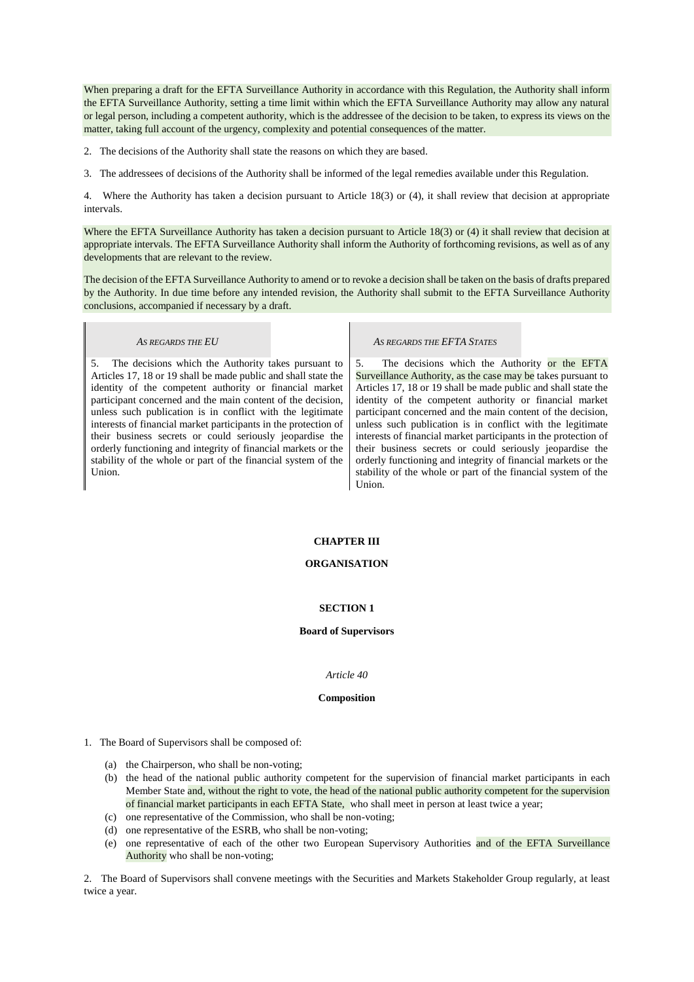When preparing a draft for the EFTA Surveillance Authority in accordance with this Regulation, the Authority shall inform the EFTA Surveillance Authority, setting a time limit within which the EFTA Surveillance Authority may allow any natural or legal person, including a competent authority, which is the addressee of the decision to be taken, to express its views on the matter, taking full account of the urgency, complexity and potential consequences of the matter.

2. The decisions of the Authority shall state the reasons on which they are based.

3. The addressees of decisions of the Authority shall be informed of the legal remedies available under this Regulation.

4. Where the Authority has taken a decision pursuant to Article 18(3) or (4), it shall review that decision at appropriate intervals.

Where the EFTA Surveillance Authority has taken a decision pursuant to Article 18(3) or (4) it shall review that decision at appropriate intervals. The EFTA Surveillance Authority shall inform the Authority of forthcoming revisions, as well as of any developments that are relevant to the review.

The decision of the EFTA Surveillance Authority to amend or to revoke a decision shall be taken on the basis of drafts prepared by the Authority. In due time before any intended revision, the Authority shall submit to the EFTA Surveillance Authority conclusions, accompanied if necessary by a draft.

5. The decisions which the Authority takes pursuant to Articles 17, 18 or 19 shall be made public and shall state the identity of the competent authority or financial market participant concerned and the main content of the decision, unless such publication is in conflict with the legitimate interests of financial market participants in the protection of their business secrets or could seriously jeopardise the orderly functioning and integrity of financial markets or the stability of the whole or part of the financial system of the Union.

### *AS REGARDS THE EU AS REGARDS THE EFTA STATES*

5. The decisions which the Authority or the EFTA Surveillance Authority, as the case may be takes pursuant to Articles 17, 18 or 19 shall be made public and shall state the identity of the competent authority or financial market participant concerned and the main content of the decision, unless such publication is in conflict with the legitimate interests of financial market participants in the protection of their business secrets or could seriously jeopardise the orderly functioning and integrity of financial markets or the stability of the whole or part of the financial system of the Union.

## **CHAPTER III**

## **ORGANISATION**

#### **SECTION 1**

#### **Board of Supervisors**

#### *Article 40*

#### **Composition**

- 1. The Board of Supervisors shall be composed of:
	- (a) the Chairperson, who shall be non-voting;
	- (b) the head of the national public authority competent for the supervision of financial market participants in each Member State and, without the right to vote, the head of the national public authority competent for the supervision of financial market participants in each EFTA State, who shall meet in person at least twice a year;
	- (c) one representative of the Commission, who shall be non-voting;
	- (d) one representative of the ESRB, who shall be non-voting;
	- (e) one representative of each of the other two European Supervisory Authorities and of the EFTA Surveillance Authority who shall be non-voting;

2. The Board of Supervisors shall convene meetings with the Securities and Markets Stakeholder Group regularly, at least twice a year.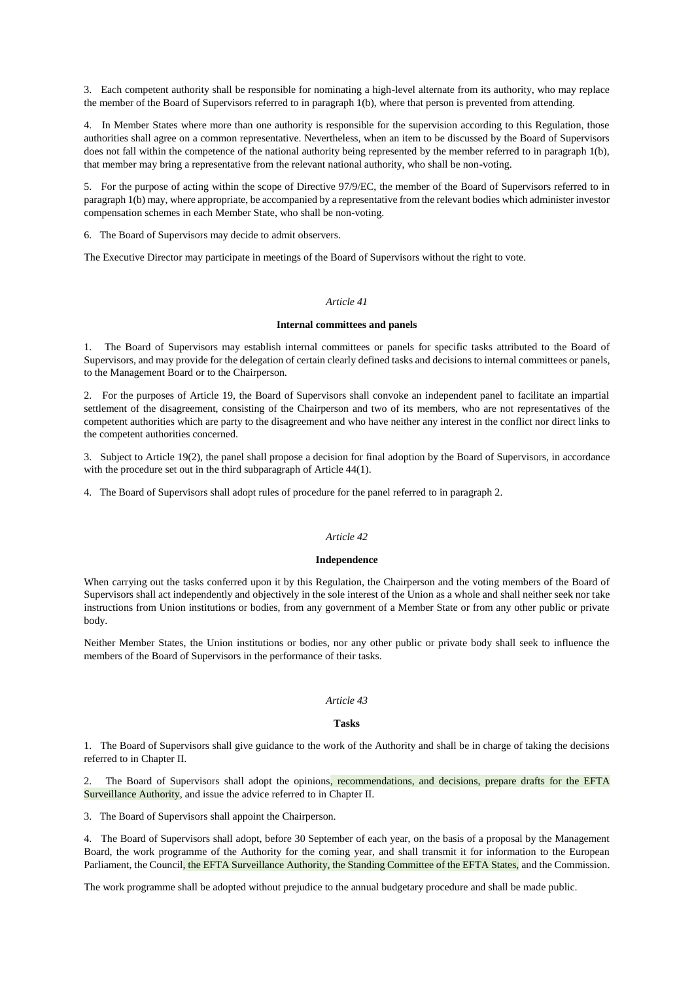3. Each competent authority shall be responsible for nominating a high-level alternate from its authority, who may replace the member of the Board of Supervisors referred to in paragraph 1(b), where that person is prevented from attending.

4. In Member States where more than one authority is responsible for the supervision according to this Regulation, those authorities shall agree on a common representative. Nevertheless, when an item to be discussed by the Board of Supervisors does not fall within the competence of the national authority being represented by the member referred to in paragraph 1(b), that member may bring a representative from the relevant national authority, who shall be non-voting.

5. For the purpose of acting within the scope of Directive 97/9/EC, the member of the Board of Supervisors referred to in paragraph 1(b) may, where appropriate, be accompanied by a representative from the relevant bodies which administer investor compensation schemes in each Member State, who shall be non-voting.

6. The Board of Supervisors may decide to admit observers.

The Executive Director may participate in meetings of the Board of Supervisors without the right to vote.

## *Article 41*

## **Internal committees and panels**

1. The Board of Supervisors may establish internal committees or panels for specific tasks attributed to the Board of Supervisors, and may provide for the delegation of certain clearly defined tasks and decisions to internal committees or panels, to the Management Board or to the Chairperson.

2. For the purposes of Article 19, the Board of Supervisors shall convoke an independent panel to facilitate an impartial settlement of the disagreement, consisting of the Chairperson and two of its members, who are not representatives of the competent authorities which are party to the disagreement and who have neither any interest in the conflict nor direct links to the competent authorities concerned.

3. Subject to Article 19(2), the panel shall propose a decision for final adoption by the Board of Supervisors, in accordance with the procedure set out in the third subparagraph of Article 44(1).

4. The Board of Supervisors shall adopt rules of procedure for the panel referred to in paragraph 2.

## *Article 42*

## **Independence**

When carrying out the tasks conferred upon it by this Regulation, the Chairperson and the voting members of the Board of Supervisors shall act independently and objectively in the sole interest of the Union as a whole and shall neither seek nor take instructions from Union institutions or bodies, from any government of a Member State or from any other public or private body.

Neither Member States, the Union institutions or bodies, nor any other public or private body shall seek to influence the members of the Board of Supervisors in the performance of their tasks.

## *Article 43*

#### **Tasks**

1. The Board of Supervisors shall give guidance to the work of the Authority and shall be in charge of taking the decisions referred to in Chapter II.

2. The Board of Supervisors shall adopt the opinions, recommendations, and decisions, prepare drafts for the EFTA Surveillance Authority, and issue the advice referred to in Chapter II.

3. The Board of Supervisors shall appoint the Chairperson.

4. The Board of Supervisors shall adopt, before 30 September of each year, on the basis of a proposal by the Management Board, the work programme of the Authority for the coming year, and shall transmit it for information to the European Parliament, the Council, the EFTA Surveillance Authority, the Standing Committee of the EFTA States, and the Commission.

The work programme shall be adopted without prejudice to the annual budgetary procedure and shall be made public.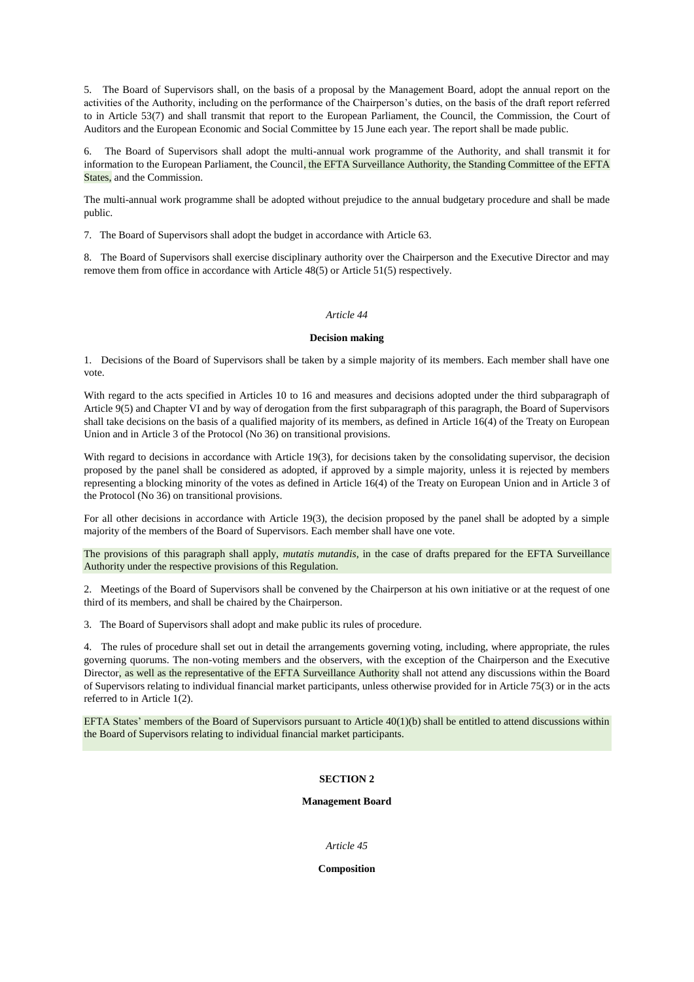5. The Board of Supervisors shall, on the basis of a proposal by the Management Board, adopt the annual report on the activities of the Authority, including on the performance of the Chairperson's duties, on the basis of the draft report referred to in Article 53(7) and shall transmit that report to the European Parliament, the Council, the Commission, the Court of Auditors and the European Economic and Social Committee by 15 June each year. The report shall be made public.

6. The Board of Supervisors shall adopt the multi-annual work programme of the Authority, and shall transmit it for information to the European Parliament, the Council, the EFTA Surveillance Authority, the Standing Committee of the EFTA States, and the Commission.

The multi-annual work programme shall be adopted without prejudice to the annual budgetary procedure and shall be made public.

7. The Board of Supervisors shall adopt the budget in accordance with Article 63.

8. The Board of Supervisors shall exercise disciplinary authority over the Chairperson and the Executive Director and may remove them from office in accordance with Article 48(5) or Article 51(5) respectively.

#### *Article 44*

#### **Decision making**

1. Decisions of the Board of Supervisors shall be taken by a simple majority of its members. Each member shall have one vote.

With regard to the acts specified in Articles 10 to 16 and measures and decisions adopted under the third subparagraph of Article 9(5) and Chapter VI and by way of derogation from the first subparagraph of this paragraph, the Board of Supervisors shall take decisions on the basis of a qualified majority of its members, as defined in Article 16(4) of the Treaty on European Union and in Article 3 of the Protocol (No 36) on transitional provisions.

With regard to decisions in accordance with Article 19(3), for decisions taken by the consolidating supervisor, the decision proposed by the panel shall be considered as adopted, if approved by a simple majority, unless it is rejected by members representing a blocking minority of the votes as defined in Article 16(4) of the Treaty on European Union and in Article 3 of the Protocol (No 36) on transitional provisions.

For all other decisions in accordance with Article 19(3), the decision proposed by the panel shall be adopted by a simple majority of the members of the Board of Supervisors. Each member shall have one vote.

The provisions of this paragraph shall apply, *mutatis mutandis*, in the case of drafts prepared for the EFTA Surveillance Authority under the respective provisions of this Regulation.

2. Meetings of the Board of Supervisors shall be convened by the Chairperson at his own initiative or at the request of one third of its members, and shall be chaired by the Chairperson.

3. The Board of Supervisors shall adopt and make public its rules of procedure.

4. The rules of procedure shall set out in detail the arrangements governing voting, including, where appropriate, the rules governing quorums. The non-voting members and the observers, with the exception of the Chairperson and the Executive Director, as well as the representative of the EFTA Surveillance Authority shall not attend any discussions within the Board of Supervisors relating to individual financial market participants, unless otherwise provided for in Article 75(3) or in the acts referred to in Article 1(2).

EFTA States' members of the Board of Supervisors pursuant to Article 40(1)(b) shall be entitled to attend discussions within the Board of Supervisors relating to individual financial market participants.

#### **SECTION 2**

#### **Management Board**

#### *Article 45*

#### **Composition**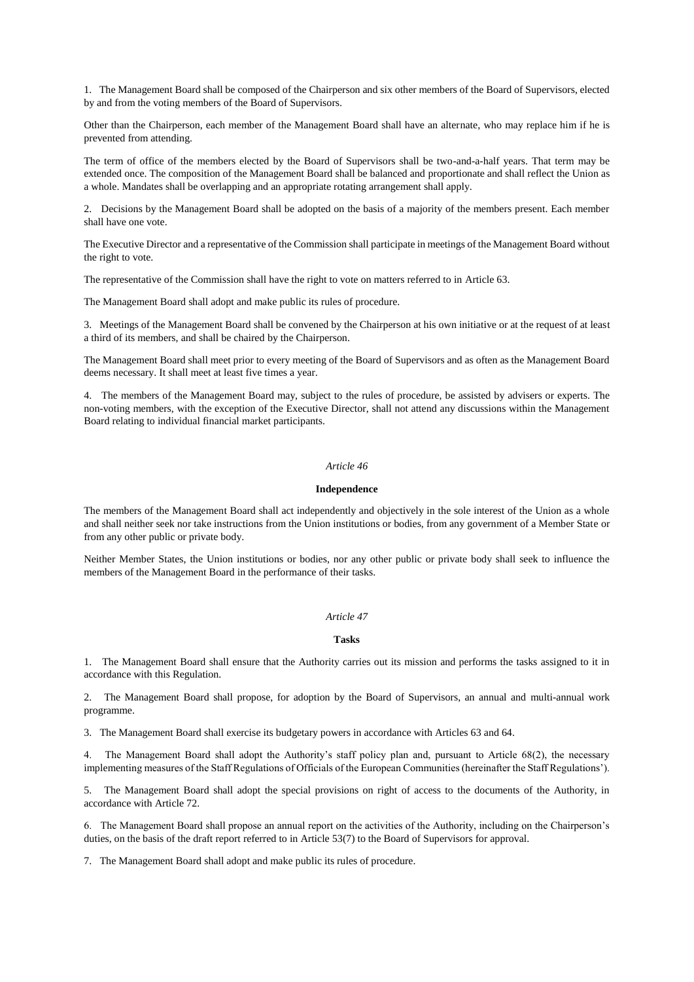1. The Management Board shall be composed of the Chairperson and six other members of the Board of Supervisors, elected by and from the voting members of the Board of Supervisors.

Other than the Chairperson, each member of the Management Board shall have an alternate, who may replace him if he is prevented from attending.

The term of office of the members elected by the Board of Supervisors shall be two-and-a-half years. That term may be extended once. The composition of the Management Board shall be balanced and proportionate and shall reflect the Union as a whole. Mandates shall be overlapping and an appropriate rotating arrangement shall apply.

2. Decisions by the Management Board shall be adopted on the basis of a majority of the members present. Each member shall have one vote.

The Executive Director and a representative of the Commission shall participate in meetings of the Management Board without the right to vote.

The representative of the Commission shall have the right to vote on matters referred to in Article 63.

The Management Board shall adopt and make public its rules of procedure.

3. Meetings of the Management Board shall be convened by the Chairperson at his own initiative or at the request of at least a third of its members, and shall be chaired by the Chairperson.

The Management Board shall meet prior to every meeting of the Board of Supervisors and as often as the Management Board deems necessary. It shall meet at least five times a year.

4. The members of the Management Board may, subject to the rules of procedure, be assisted by advisers or experts. The non-voting members, with the exception of the Executive Director, shall not attend any discussions within the Management Board relating to individual financial market participants.

## *Article 46*

#### **Independence**

The members of the Management Board shall act independently and objectively in the sole interest of the Union as a whole and shall neither seek nor take instructions from the Union institutions or bodies, from any government of a Member State or from any other public or private body.

Neither Member States, the Union institutions or bodies, nor any other public or private body shall seek to influence the members of the Management Board in the performance of their tasks.

#### *Article 47*

## **Tasks**

1. The Management Board shall ensure that the Authority carries out its mission and performs the tasks assigned to it in accordance with this Regulation.

2. The Management Board shall propose, for adoption by the Board of Supervisors, an annual and multi-annual work programme.

3. The Management Board shall exercise its budgetary powers in accordance with Articles 63 and 64.

4. The Management Board shall adopt the Authority's staff policy plan and, pursuant to Article 68(2), the necessary implementing measures of the Staff Regulations of Officials of the European Communities (hereinafter the Staff Regulations').

5. The Management Board shall adopt the special provisions on right of access to the documents of the Authority, in accordance with Article 72.

6. The Management Board shall propose an annual report on the activities of the Authority, including on the Chairperson's duties, on the basis of the draft report referred to in Article 53(7) to the Board of Supervisors for approval.

7. The Management Board shall adopt and make public its rules of procedure.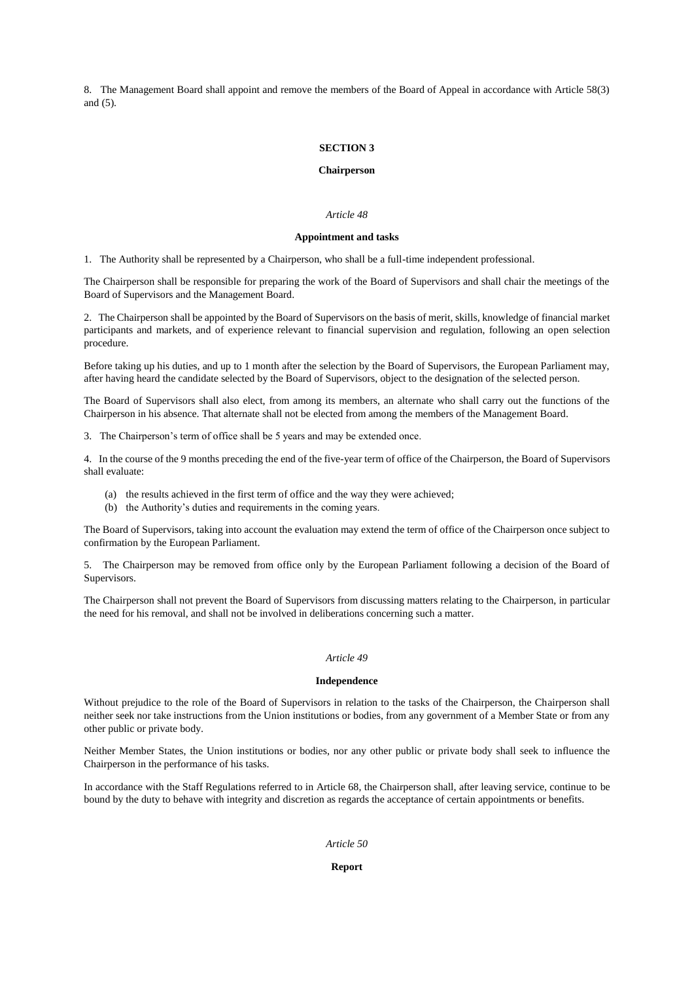8. The Management Board shall appoint and remove the members of the Board of Appeal in accordance with Article 58(3) and (5).

### **SECTION 3**

### **Chairperson**

## *Article 48*

#### **Appointment and tasks**

1. The Authority shall be represented by a Chairperson, who shall be a full-time independent professional.

The Chairperson shall be responsible for preparing the work of the Board of Supervisors and shall chair the meetings of the Board of Supervisors and the Management Board.

2. The Chairperson shall be appointed by the Board of Supervisors on the basis of merit, skills, knowledge of financial market participants and markets, and of experience relevant to financial supervision and regulation, following an open selection procedure.

Before taking up his duties, and up to 1 month after the selection by the Board of Supervisors, the European Parliament may, after having heard the candidate selected by the Board of Supervisors, object to the designation of the selected person.

The Board of Supervisors shall also elect, from among its members, an alternate who shall carry out the functions of the Chairperson in his absence. That alternate shall not be elected from among the members of the Management Board.

3. The Chairperson's term of office shall be 5 years and may be extended once.

4. In the course of the 9 months preceding the end of the five-year term of office of the Chairperson, the Board of Supervisors shall evaluate:

- (a) the results achieved in the first term of office and the way they were achieved;
- (b) the Authority's duties and requirements in the coming years.

The Board of Supervisors, taking into account the evaluation may extend the term of office of the Chairperson once subject to confirmation by the European Parliament.

5. The Chairperson may be removed from office only by the European Parliament following a decision of the Board of Supervisors.

The Chairperson shall not prevent the Board of Supervisors from discussing matters relating to the Chairperson, in particular the need for his removal, and shall not be involved in deliberations concerning such a matter.

## *Article 49*

## **Independence**

Without prejudice to the role of the Board of Supervisors in relation to the tasks of the Chairperson, the Chairperson shall neither seek nor take instructions from the Union institutions or bodies, from any government of a Member State or from any other public or private body.

Neither Member States, the Union institutions or bodies, nor any other public or private body shall seek to influence the Chairperson in the performance of his tasks.

In accordance with the Staff Regulations referred to in Article 68, the Chairperson shall, after leaving service, continue to be bound by the duty to behave with integrity and discretion as regards the acceptance of certain appointments or benefits.

#### *Article 50*

## **Report**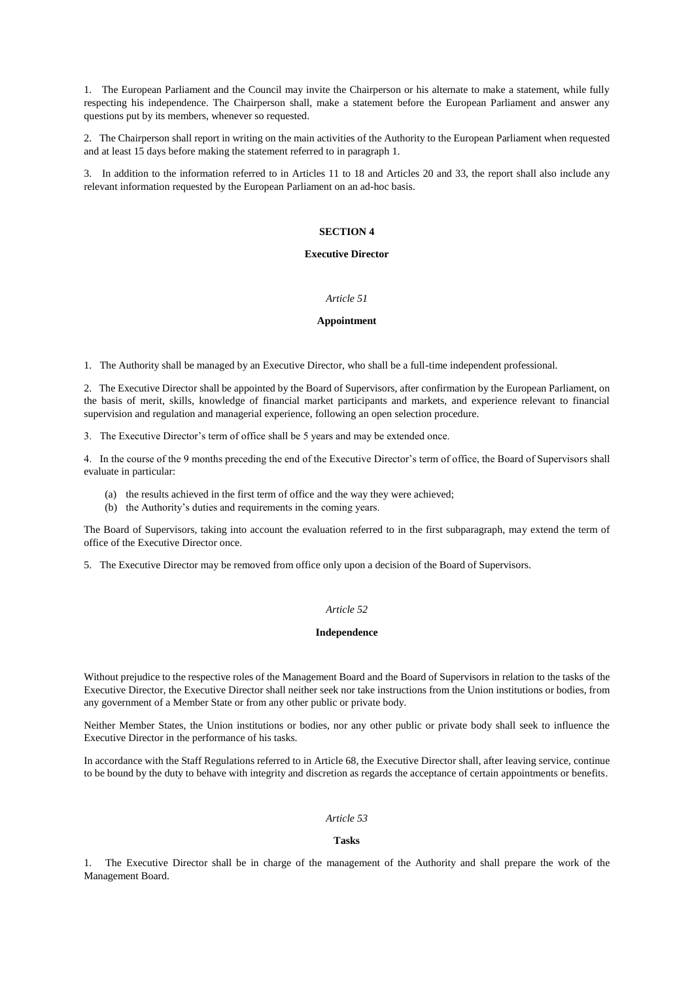1. The European Parliament and the Council may invite the Chairperson or his alternate to make a statement, while fully respecting his independence. The Chairperson shall, make a statement before the European Parliament and answer any questions put by its members, whenever so requested.

2. The Chairperson shall report in writing on the main activities of the Authority to the European Parliament when requested and at least 15 days before making the statement referred to in paragraph 1.

3. In addition to the information referred to in Articles 11 to 18 and Articles 20 and 33, the report shall also include any relevant information requested by the European Parliament on an ad-hoc basis.

#### **SECTION 4**

#### **Executive Director**

#### *Article 51*

#### **Appointment**

1. The Authority shall be managed by an Executive Director, who shall be a full-time independent professional.

2. The Executive Director shall be appointed by the Board of Supervisors, after confirmation by the European Parliament, on the basis of merit, skills, knowledge of financial market participants and markets, and experience relevant to financial supervision and regulation and managerial experience, following an open selection procedure.

3. The Executive Director's term of office shall be 5 years and may be extended once.

4. In the course of the 9 months preceding the end of the Executive Director's term of office, the Board of Supervisors shall evaluate in particular:

- (a) the results achieved in the first term of office and the way they were achieved;
- (b) the Authority's duties and requirements in the coming years.

The Board of Supervisors, taking into account the evaluation referred to in the first subparagraph, may extend the term of office of the Executive Director once.

5. The Executive Director may be removed from office only upon a decision of the Board of Supervisors.

## *Article 52*

## **Independence**

Without prejudice to the respective roles of the Management Board and the Board of Supervisors in relation to the tasks of the Executive Director, the Executive Director shall neither seek nor take instructions from the Union institutions or bodies, from any government of a Member State or from any other public or private body.

Neither Member States, the Union institutions or bodies, nor any other public or private body shall seek to influence the Executive Director in the performance of his tasks.

In accordance with the Staff Regulations referred to in Article 68, the Executive Director shall, after leaving service, continue to be bound by the duty to behave with integrity and discretion as regards the acceptance of certain appointments or benefits.

#### *Article 53*

#### **Tasks**

1. The Executive Director shall be in charge of the management of the Authority and shall prepare the work of the Management Board.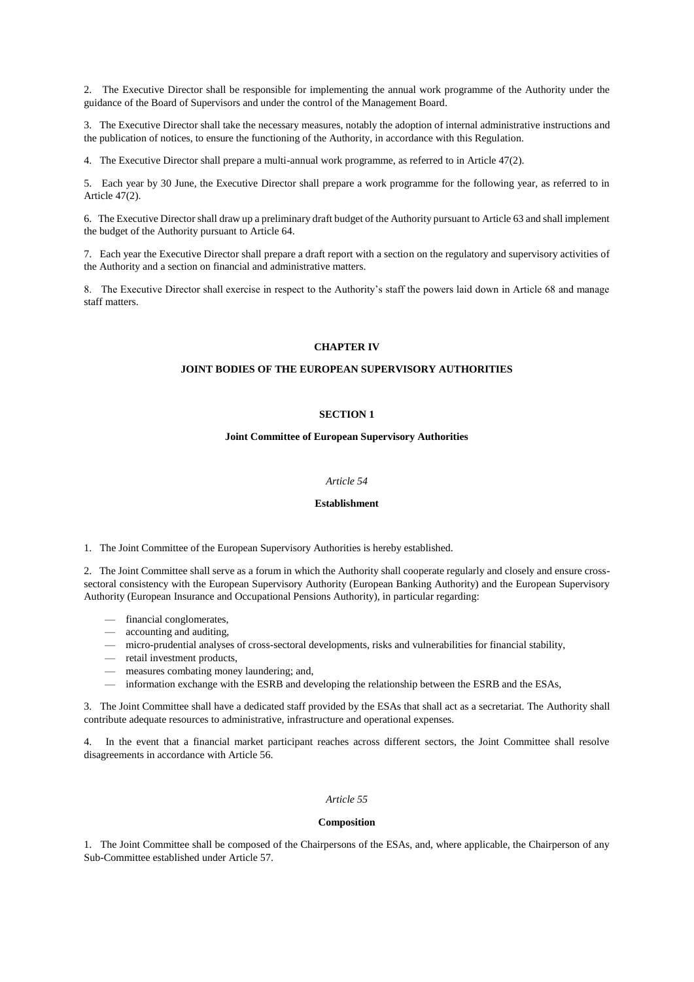2. The Executive Director shall be responsible for implementing the annual work programme of the Authority under the guidance of the Board of Supervisors and under the control of the Management Board.

3. The Executive Director shall take the necessary measures, notably the adoption of internal administrative instructions and the publication of notices, to ensure the functioning of the Authority, in accordance with this Regulation.

4. The Executive Director shall prepare a multi-annual work programme, as referred to in Article 47(2).

5. Each year by 30 June, the Executive Director shall prepare a work programme for the following year, as referred to in Article 47(2).

6. The Executive Director shall draw up a preliminary draft budget of the Authority pursuant to Article 63 and shall implement the budget of the Authority pursuant to Article 64.

7. Each year the Executive Director shall prepare a draft report with a section on the regulatory and supervisory activities of the Authority and a section on financial and administrative matters.

8. The Executive Director shall exercise in respect to the Authority's staff the powers laid down in Article 68 and manage staff matters.

#### **CHAPTER IV**

## **JOINT BODIES OF THE EUROPEAN SUPERVISORY AUTHORITIES**

## **SECTION 1**

#### **Joint Committee of European Supervisory Authorities**

#### *Article 54*

#### **Establishment**

1. The Joint Committee of the European Supervisory Authorities is hereby established.

2. The Joint Committee shall serve as a forum in which the Authority shall cooperate regularly and closely and ensure crosssectoral consistency with the European Supervisory Authority (European Banking Authority) and the European Supervisory Authority (European Insurance and Occupational Pensions Authority), in particular regarding:

- financial conglomerates,
- accounting and auditing,
- micro-prudential analyses of cross-sectoral developments, risks and vulnerabilities for financial stability,
- retail investment products,
- measures combating money laundering; and,
- information exchange with the ESRB and developing the relationship between the ESRB and the ESAs,

3. The Joint Committee shall have a dedicated staff provided by the ESAs that shall act as a secretariat. The Authority shall contribute adequate resources to administrative, infrastructure and operational expenses.

4. In the event that a financial market participant reaches across different sectors, the Joint Committee shall resolve disagreements in accordance with Article 56.

### *Article 55*

#### **Composition**

1. The Joint Committee shall be composed of the Chairpersons of the ESAs, and, where applicable, the Chairperson of any Sub-Committee established under Article 57.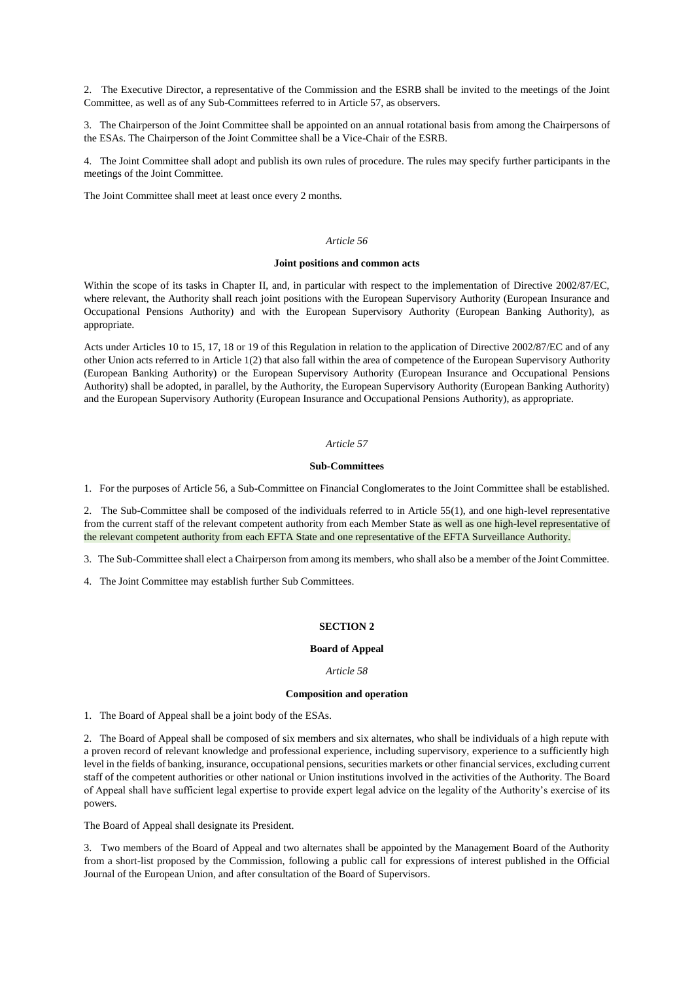2. The Executive Director, a representative of the Commission and the ESRB shall be invited to the meetings of the Joint Committee, as well as of any Sub-Committees referred to in Article 57, as observers.

3. The Chairperson of the Joint Committee shall be appointed on an annual rotational basis from among the Chairpersons of the ESAs. The Chairperson of the Joint Committee shall be a Vice-Chair of the ESRB.

4. The Joint Committee shall adopt and publish its own rules of procedure. The rules may specify further participants in the meetings of the Joint Committee.

The Joint Committee shall meet at least once every 2 months.

#### *Article 56*

## **Joint positions and common acts**

Within the scope of its tasks in Chapter II, and, in particular with respect to the implementation of Directive 2002/87/EC, where relevant, the Authority shall reach joint positions with the European Supervisory Authority (European Insurance and Occupational Pensions Authority) and with the European Supervisory Authority (European Banking Authority), as appropriate.

Acts under Articles 10 to 15, 17, 18 or 19 of this Regulation in relation to the application of Directive 2002/87/EC and of any other Union acts referred to in Article 1(2) that also fall within the area of competence of the European Supervisory Authority (European Banking Authority) or the European Supervisory Authority (European Insurance and Occupational Pensions Authority) shall be adopted, in parallel, by the Authority, the European Supervisory Authority (European Banking Authority) and the European Supervisory Authority (European Insurance and Occupational Pensions Authority), as appropriate.

## *Article 57*

#### **Sub-Committees**

1. For the purposes of Article 56, a Sub-Committee on Financial Conglomerates to the Joint Committee shall be established.

2. The Sub-Committee shall be composed of the individuals referred to in Article 55(1), and one high-level representative from the current staff of the relevant competent authority from each Member State as well as one high-level representative of the relevant competent authority from each EFTA State and one representative of the EFTA Surveillance Authority.

3. The Sub-Committee shall elect a Chairperson from among its members, who shall also be a member of the Joint Committee.

4. The Joint Committee may establish further Sub Committees.

## **SECTION 2**

#### **Board of Appeal**

#### *Article 58*

#### **Composition and operation**

1. The Board of Appeal shall be a joint body of the ESAs.

2. The Board of Appeal shall be composed of six members and six alternates, who shall be individuals of a high repute with a proven record of relevant knowledge and professional experience, including supervisory, experience to a sufficiently high level in the fields of banking, insurance, occupational pensions, securities markets or other financial services, excluding current staff of the competent authorities or other national or Union institutions involved in the activities of the Authority. The Board of Appeal shall have sufficient legal expertise to provide expert legal advice on the legality of the Authority's exercise of its powers.

The Board of Appeal shall designate its President.

3. Two members of the Board of Appeal and two alternates shall be appointed by the Management Board of the Authority from a short-list proposed by the Commission, following a public call for expressions of interest published in the Official Journal of the European Union, and after consultation of the Board of Supervisors.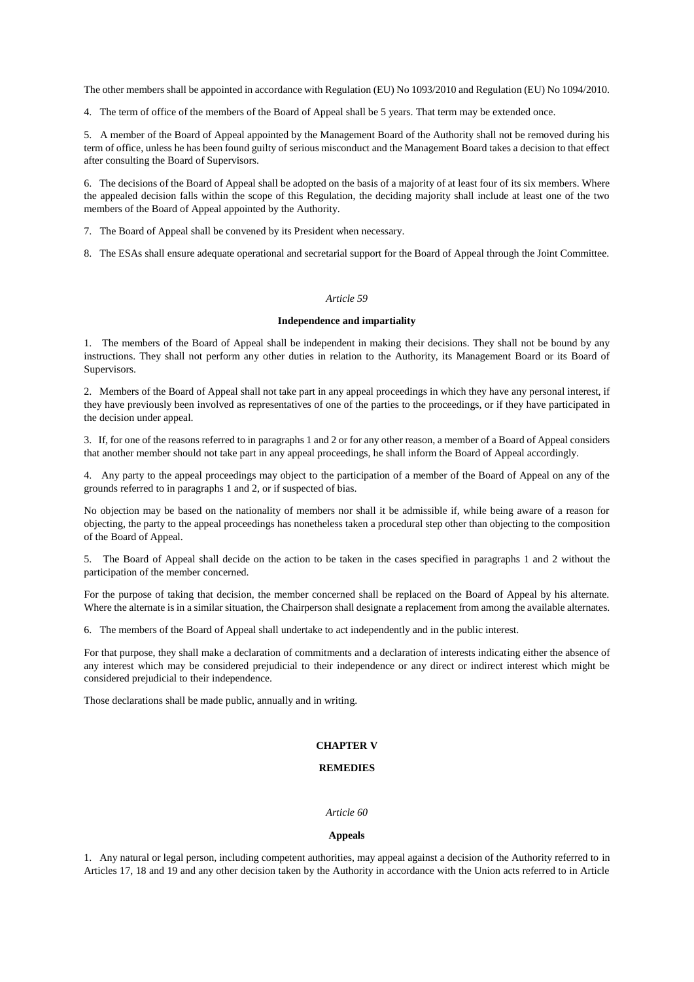The other members shall be appointed in accordance with Regulation (EU) No 1093/2010 and Regulation (EU) No 1094/2010.

4. The term of office of the members of the Board of Appeal shall be 5 years. That term may be extended once.

5. A member of the Board of Appeal appointed by the Management Board of the Authority shall not be removed during his term of office, unless he has been found guilty of serious misconduct and the Management Board takes a decision to that effect after consulting the Board of Supervisors.

6. The decisions of the Board of Appeal shall be adopted on the basis of a majority of at least four of its six members. Where the appealed decision falls within the scope of this Regulation, the deciding majority shall include at least one of the two members of the Board of Appeal appointed by the Authority.

7. The Board of Appeal shall be convened by its President when necessary.

8. The ESAs shall ensure adequate operational and secretarial support for the Board of Appeal through the Joint Committee.

### *Article 59*

## **Independence and impartiality**

1. The members of the Board of Appeal shall be independent in making their decisions. They shall not be bound by any instructions. They shall not perform any other duties in relation to the Authority, its Management Board or its Board of Supervisors.

2. Members of the Board of Appeal shall not take part in any appeal proceedings in which they have any personal interest, if they have previously been involved as representatives of one of the parties to the proceedings, or if they have participated in the decision under appeal.

3. If, for one of the reasons referred to in paragraphs 1 and 2 or for any other reason, a member of a Board of Appeal considers that another member should not take part in any appeal proceedings, he shall inform the Board of Appeal accordingly.

4. Any party to the appeal proceedings may object to the participation of a member of the Board of Appeal on any of the grounds referred to in paragraphs 1 and 2, or if suspected of bias.

No objection may be based on the nationality of members nor shall it be admissible if, while being aware of a reason for objecting, the party to the appeal proceedings has nonetheless taken a procedural step other than objecting to the composition of the Board of Appeal.

5. The Board of Appeal shall decide on the action to be taken in the cases specified in paragraphs 1 and 2 without the participation of the member concerned.

For the purpose of taking that decision, the member concerned shall be replaced on the Board of Appeal by his alternate. Where the alternate is in a similar situation, the Chairperson shall designate a replacement from among the available alternates.

6. The members of the Board of Appeal shall undertake to act independently and in the public interest.

For that purpose, they shall make a declaration of commitments and a declaration of interests indicating either the absence of any interest which may be considered prejudicial to their independence or any direct or indirect interest which might be considered prejudicial to their independence.

Those declarations shall be made public, annually and in writing.

#### **CHAPTER V**

#### **REMEDIES**

#### *Article 60*

#### **Appeals**

1. Any natural or legal person, including competent authorities, may appeal against a decision of the Authority referred to in Articles 17, 18 and 19 and any other decision taken by the Authority in accordance with the Union acts referred to in Article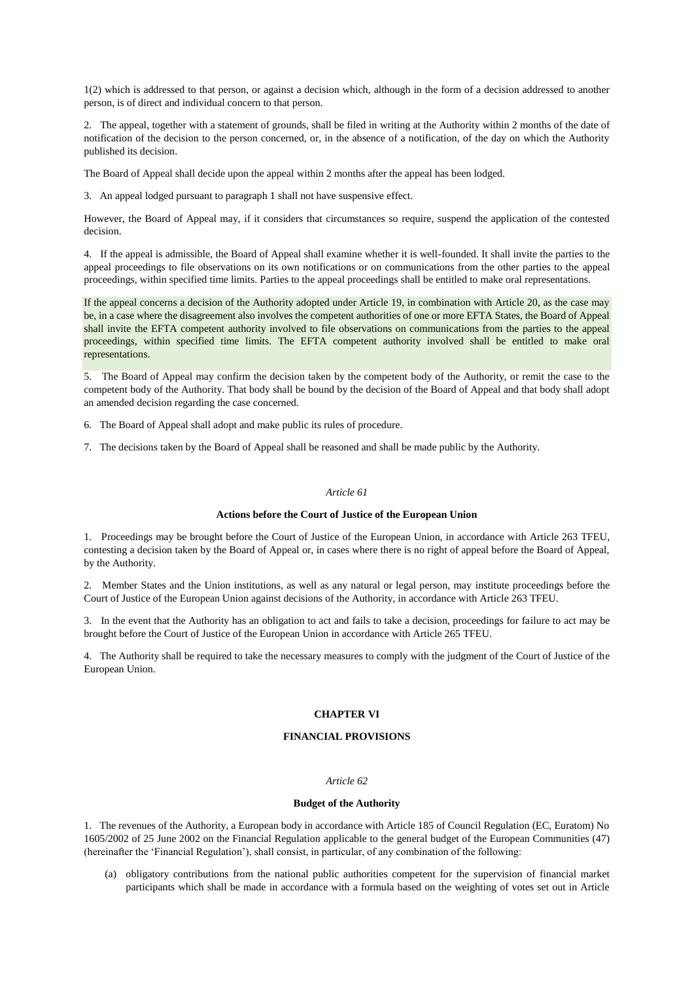1(2) which is addressed to that person, or against a decision which, although in the form of a decision addressed to another person, is of direct and individual concern to that person.

2. The appeal, together with a statement of grounds, shall be filed in writing at the Authority within 2 months of the date of notification of the decision to the person concerned, or, in the absence of a notification, of the day on which the Authority published its decision.

The Board of Appeal shall decide upon the appeal within 2 months after the appeal has been lodged.

3. An appeal lodged pursuant to paragraph 1 shall not have suspensive effect.

However, the Board of Appeal may, if it considers that circumstances so require, suspend the application of the contested decision.

4. If the appeal is admissible, the Board of Appeal shall examine whether it is well-founded. It shall invite the parties to the appeal proceedings to file observations on its own notifications or on communications from the other parties to the appeal proceedings, within specified time limits. Parties to the appeal proceedings shall be entitled to make oral representations.

If the appeal concerns a decision of the Authority adopted under Article 19, in combination with Article 20, as the case may be, in a case where the disagreement also involves the competent authorities of one or more EFTA States, the Board of Appeal shall invite the EFTA competent authority involved to file observations on communications from the parties to the appeal proceedings, within specified time limits. The EFTA competent authority involved shall be entitled to make oral representations.

5. The Board of Appeal may confirm the decision taken by the competent body of the Authority, or remit the case to the competent body of the Authority. That body shall be bound by the decision of the Board of Appeal and that body shall adopt an amended decision regarding the case concerned.

6. The Board of Appeal shall adopt and make public its rules of procedure.

7. The decisions taken by the Board of Appeal shall be reasoned and shall be made public by the Authority.

## *Article 61*

## **Actions before the Court of Justice of the European Union**

1. Proceedings may be brought before the Court of Justice of the European Union, in accordance with Article 263 TFEU, contesting a decision taken by the Board of Appeal or, in cases where there is no right of appeal before the Board of Appeal, by the Authority.

2. Member States and the Union institutions, as well as any natural or legal person, may institute proceedings before the Court of Justice of the European Union against decisions of the Authority, in accordance with Article 263 TFEU.

3. In the event that the Authority has an obligation to act and fails to take a decision, proceedings for failure to act may be brought before the Court of Justice of the European Union in accordance with Article 265 TFEU.

4. The Authority shall be required to take the necessary measures to comply with the judgment of the Court of Justice of the European Union.

#### **CHAPTER VI**

## **FINANCIAL PROVISIONS**

#### *Article 62*

#### **Budget of the Authority**

1. The revenues of the Authority, a European body in accordance with Article 185 of Council Regulation (EC, Euratom) No 1605/2002 of 25 June 2002 on the Financial Regulation applicable to the general budget of the European Communities (47) (hereinafter the 'Financial Regulation'), shall consist, in particular, of any combination of the following:

(a) obligatory contributions from the national public authorities competent for the supervision of financial market participants which shall be made in accordance with a formula based on the weighting of votes set out in Article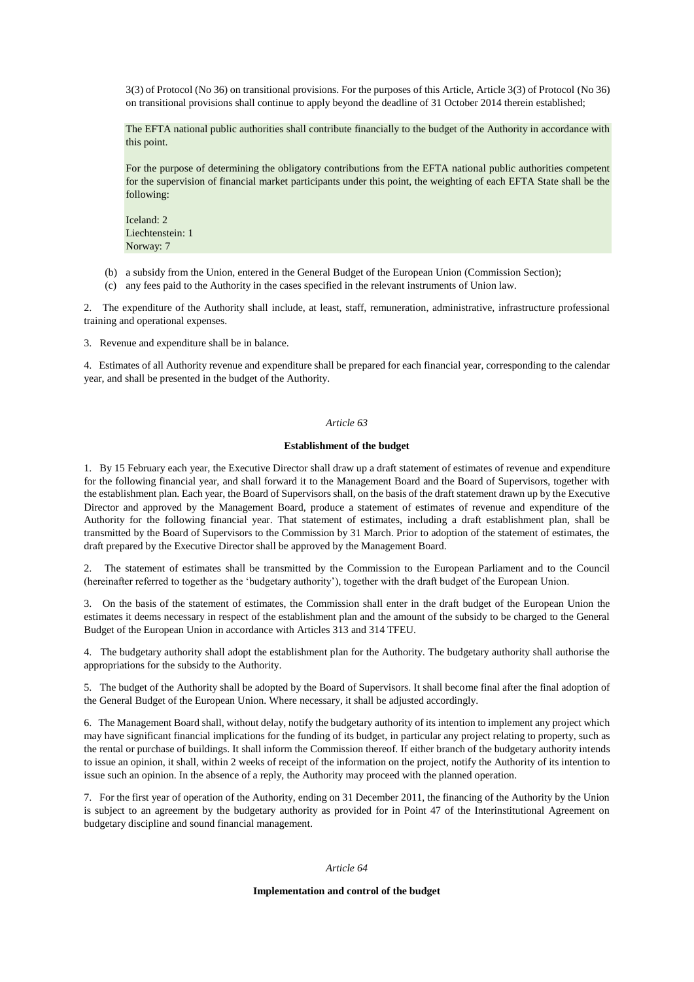3(3) of Protocol (No 36) on transitional provisions. For the purposes of this Article, Article 3(3) of Protocol (No 36) on transitional provisions shall continue to apply beyond the deadline of 31 October 2014 therein established;

The EFTA national public authorities shall contribute financially to the budget of the Authority in accordance with this point.

For the purpose of determining the obligatory contributions from the EFTA national public authorities competent for the supervision of financial market participants under this point, the weighting of each EFTA State shall be the following:

Iceland: 2 Liechtenstein: 1 Norway: 7

(b) a subsidy from the Union, entered in the General Budget of the European Union (Commission Section);

(c) any fees paid to the Authority in the cases specified in the relevant instruments of Union law.

2. The expenditure of the Authority shall include, at least, staff, remuneration, administrative, infrastructure professional training and operational expenses.

3. Revenue and expenditure shall be in balance.

4. Estimates of all Authority revenue and expenditure shall be prepared for each financial year, corresponding to the calendar year, and shall be presented in the budget of the Authority.

### *Article 63*

### **Establishment of the budget**

1. By 15 February each year, the Executive Director shall draw up a draft statement of estimates of revenue and expenditure for the following financial year, and shall forward it to the Management Board and the Board of Supervisors, together with the establishment plan. Each year, the Board of Supervisors shall, on the basis of the draft statement drawn up by the Executive Director and approved by the Management Board, produce a statement of estimates of revenue and expenditure of the Authority for the following financial year. That statement of estimates, including a draft establishment plan, shall be transmitted by the Board of Supervisors to the Commission by 31 March. Prior to adoption of the statement of estimates, the draft prepared by the Executive Director shall be approved by the Management Board.

2. The statement of estimates shall be transmitted by the Commission to the European Parliament and to the Council (hereinafter referred to together as the 'budgetary authority'), together with the draft budget of the European Union.

3. On the basis of the statement of estimates, the Commission shall enter in the draft budget of the European Union the estimates it deems necessary in respect of the establishment plan and the amount of the subsidy to be charged to the General Budget of the European Union in accordance with Articles 313 and 314 TFEU.

4. The budgetary authority shall adopt the establishment plan for the Authority. The budgetary authority shall authorise the appropriations for the subsidy to the Authority.

5. The budget of the Authority shall be adopted by the Board of Supervisors. It shall become final after the final adoption of the General Budget of the European Union. Where necessary, it shall be adjusted accordingly.

6. The Management Board shall, without delay, notify the budgetary authority of its intention to implement any project which may have significant financial implications for the funding of its budget, in particular any project relating to property, such as the rental or purchase of buildings. It shall inform the Commission thereof. If either branch of the budgetary authority intends to issue an opinion, it shall, within 2 weeks of receipt of the information on the project, notify the Authority of its intention to issue such an opinion. In the absence of a reply, the Authority may proceed with the planned operation.

7. For the first year of operation of the Authority, ending on 31 December 2011, the financing of the Authority by the Union is subject to an agreement by the budgetary authority as provided for in Point 47 of the Interinstitutional Agreement on budgetary discipline and sound financial management.

## *Article 64*

#### **Implementation and control of the budget**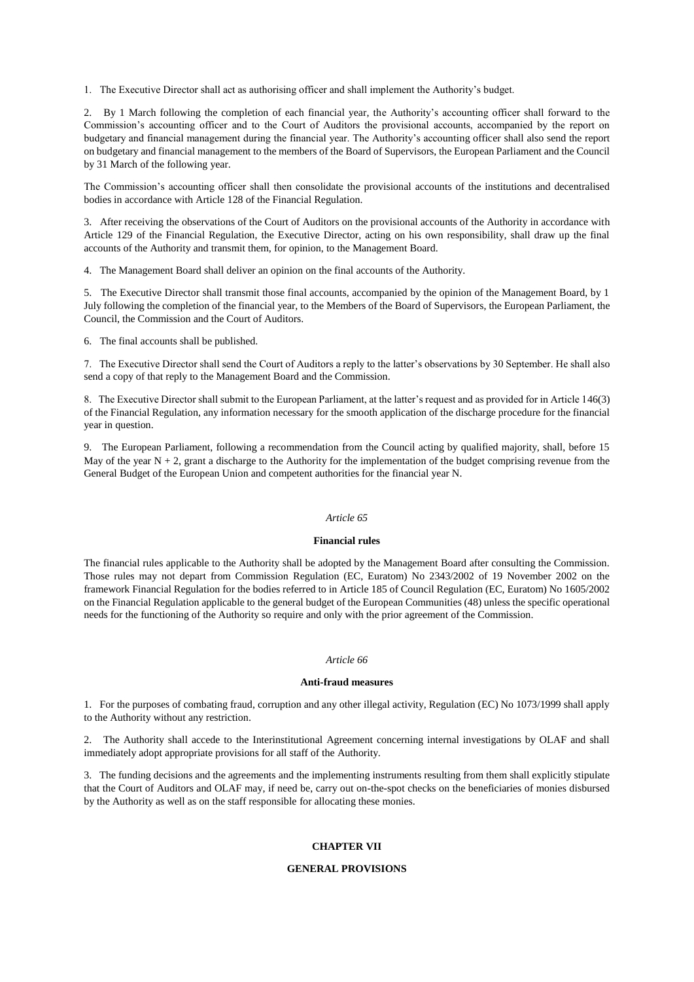1. The Executive Director shall act as authorising officer and shall implement the Authority's budget.

2. By 1 March following the completion of each financial year, the Authority's accounting officer shall forward to the Commission's accounting officer and to the Court of Auditors the provisional accounts, accompanied by the report on budgetary and financial management during the financial year. The Authority's accounting officer shall also send the report on budgetary and financial management to the members of the Board of Supervisors, the European Parliament and the Council by 31 March of the following year.

The Commission's accounting officer shall then consolidate the provisional accounts of the institutions and decentralised bodies in accordance with Article 128 of the Financial Regulation.

3. After receiving the observations of the Court of Auditors on the provisional accounts of the Authority in accordance with Article 129 of the Financial Regulation, the Executive Director, acting on his own responsibility, shall draw up the final accounts of the Authority and transmit them, for opinion, to the Management Board.

4. The Management Board shall deliver an opinion on the final accounts of the Authority.

5. The Executive Director shall transmit those final accounts, accompanied by the opinion of the Management Board, by 1 July following the completion of the financial year, to the Members of the Board of Supervisors, the European Parliament, the Council, the Commission and the Court of Auditors.

6. The final accounts shall be published.

7. The Executive Director shall send the Court of Auditors a reply to the latter's observations by 30 September. He shall also send a copy of that reply to the Management Board and the Commission.

8. The Executive Director shall submit to the European Parliament, at the latter's request and as provided for in Article 146(3) of the Financial Regulation, any information necessary for the smooth application of the discharge procedure for the financial year in question.

9. The European Parliament, following a recommendation from the Council acting by qualified majority, shall, before 15 May of the year  $N + 2$ , grant a discharge to the Authority for the implementation of the budget comprising revenue from the General Budget of the European Union and competent authorities for the financial year N.

## *Article 65*

## **Financial rules**

The financial rules applicable to the Authority shall be adopted by the Management Board after consulting the Commission. Those rules may not depart from Commission Regulation (EC, Euratom) No 2343/2002 of 19 November 2002 on the framework Financial Regulation for the bodies referred to in Article 185 of Council Regulation (EC, Euratom) No 1605/2002 on the Financial Regulation applicable to the general budget of the European Communities (48) unless the specific operational needs for the functioning of the Authority so require and only with the prior agreement of the Commission.

#### *Article 66*

#### **Anti-fraud measures**

1. For the purposes of combating fraud, corruption and any other illegal activity, Regulation (EC) No 1073/1999 shall apply to the Authority without any restriction.

2. The Authority shall accede to the Interinstitutional Agreement concerning internal investigations by OLAF and shall immediately adopt appropriate provisions for all staff of the Authority.

3. The funding decisions and the agreements and the implementing instruments resulting from them shall explicitly stipulate that the Court of Auditors and OLAF may, if need be, carry out on-the-spot checks on the beneficiaries of monies disbursed by the Authority as well as on the staff responsible for allocating these monies.

## **CHAPTER VII**

#### **GENERAL PROVISIONS**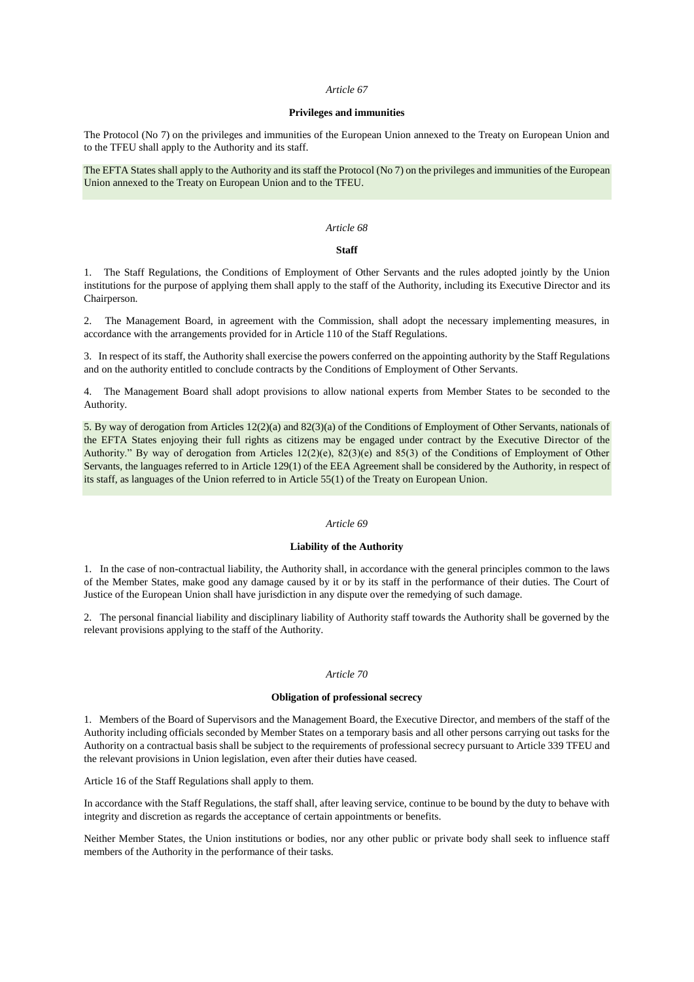#### *Article 67*

### **Privileges and immunities**

The Protocol (No 7) on the privileges and immunities of the European Union annexed to the Treaty on European Union and to the TFEU shall apply to the Authority and its staff.

The EFTA States shall apply to the Authority and its staff the Protocol (No 7) on the privileges and immunities of the European Union annexed to the Treaty on European Union and to the TFEU.

## *Article 68*

## **Staff**

1. The Staff Regulations, the Conditions of Employment of Other Servants and the rules adopted jointly by the Union institutions for the purpose of applying them shall apply to the staff of the Authority, including its Executive Director and its Chairperson.

2. The Management Board, in agreement with the Commission, shall adopt the necessary implementing measures, in accordance with the arrangements provided for in Article 110 of the Staff Regulations.

3. In respect of its staff, the Authority shall exercise the powers conferred on the appointing authority by the Staff Regulations and on the authority entitled to conclude contracts by the Conditions of Employment of Other Servants.

4. The Management Board shall adopt provisions to allow national experts from Member States to be seconded to the Authority.

5. By way of derogation from Articles 12(2)(a) and 82(3)(a) of the Conditions of Employment of Other Servants, nationals of the EFTA States enjoying their full rights as citizens may be engaged under contract by the Executive Director of the Authority." By way of derogation from Articles 12(2)(e), 82(3)(e) and 85(3) of the Conditions of Employment of Other Servants, the languages referred to in Article 129(1) of the EEA Agreement shall be considered by the Authority, in respect of its staff, as languages of the Union referred to in Article 55(1) of the Treaty on European Union.

#### *Article 69*

#### **Liability of the Authority**

1. In the case of non-contractual liability, the Authority shall, in accordance with the general principles common to the laws of the Member States, make good any damage caused by it or by its staff in the performance of their duties. The Court of Justice of the European Union shall have jurisdiction in any dispute over the remedying of such damage.

2. The personal financial liability and disciplinary liability of Authority staff towards the Authority shall be governed by the relevant provisions applying to the staff of the Authority.

### *Article 70*

## **Obligation of professional secrecy**

1. Members of the Board of Supervisors and the Management Board, the Executive Director, and members of the staff of the Authority including officials seconded by Member States on a temporary basis and all other persons carrying out tasks for the Authority on a contractual basis shall be subject to the requirements of professional secrecy pursuant to Article 339 TFEU and the relevant provisions in Union legislation, even after their duties have ceased.

Article 16 of the Staff Regulations shall apply to them.

In accordance with the Staff Regulations, the staff shall, after leaving service, continue to be bound by the duty to behave with integrity and discretion as regards the acceptance of certain appointments or benefits.

Neither Member States, the Union institutions or bodies, nor any other public or private body shall seek to influence staff members of the Authority in the performance of their tasks.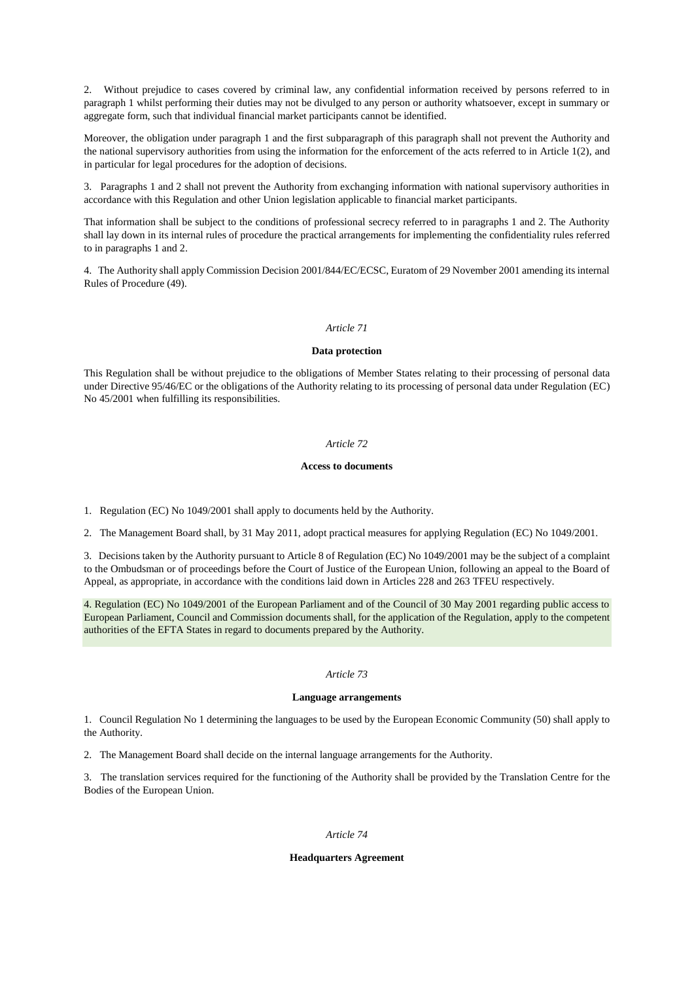2. Without prejudice to cases covered by criminal law, any confidential information received by persons referred to in paragraph 1 whilst performing their duties may not be divulged to any person or authority whatsoever, except in summary or aggregate form, such that individual financial market participants cannot be identified.

Moreover, the obligation under paragraph 1 and the first subparagraph of this paragraph shall not prevent the Authority and the national supervisory authorities from using the information for the enforcement of the acts referred to in Article 1(2), and in particular for legal procedures for the adoption of decisions.

3. Paragraphs 1 and 2 shall not prevent the Authority from exchanging information with national supervisory authorities in accordance with this Regulation and other Union legislation applicable to financial market participants.

That information shall be subject to the conditions of professional secrecy referred to in paragraphs 1 and 2. The Authority shall lay down in its internal rules of procedure the practical arrangements for implementing the confidentiality rules referred to in paragraphs 1 and 2.

4. The Authority shall apply Commission Decision 2001/844/EC/ECSC, Euratom of 29 November 2001 amending its internal Rules of Procedure (49).

#### *Article 71*

### **Data protection**

This Regulation shall be without prejudice to the obligations of Member States relating to their processing of personal data under Directive 95/46/EC or the obligations of the Authority relating to its processing of personal data under Regulation (EC) No 45/2001 when fulfilling its responsibilities.

## *Article 72*

#### **Access to documents**

1. Regulation (EC) No 1049/2001 shall apply to documents held by the Authority.

2. The Management Board shall, by 31 May 2011, adopt practical measures for applying Regulation (EC) No 1049/2001.

3. Decisions taken by the Authority pursuant to Article 8 of Regulation (EC) No 1049/2001 may be the subject of a complaint to the Ombudsman or of proceedings before the Court of Justice of the European Union, following an appeal to the Board of Appeal, as appropriate, in accordance with the conditions laid down in Articles 228 and 263 TFEU respectively.

4. Regulation (EC) No 1049/2001 of the European Parliament and of the Council of 30 May 2001 regarding public access to European Parliament, Council and Commission documents shall, for the application of the Regulation, apply to the competent authorities of the EFTA States in regard to documents prepared by the Authority.

## *Article 73*

#### **Language arrangements**

1. Council Regulation No 1 determining the languages to be used by the European Economic Community (50) shall apply to the Authority.

2. The Management Board shall decide on the internal language arrangements for the Authority.

3. The translation services required for the functioning of the Authority shall be provided by the Translation Centre for the Bodies of the European Union.

### *Article 74*

#### **Headquarters Agreement**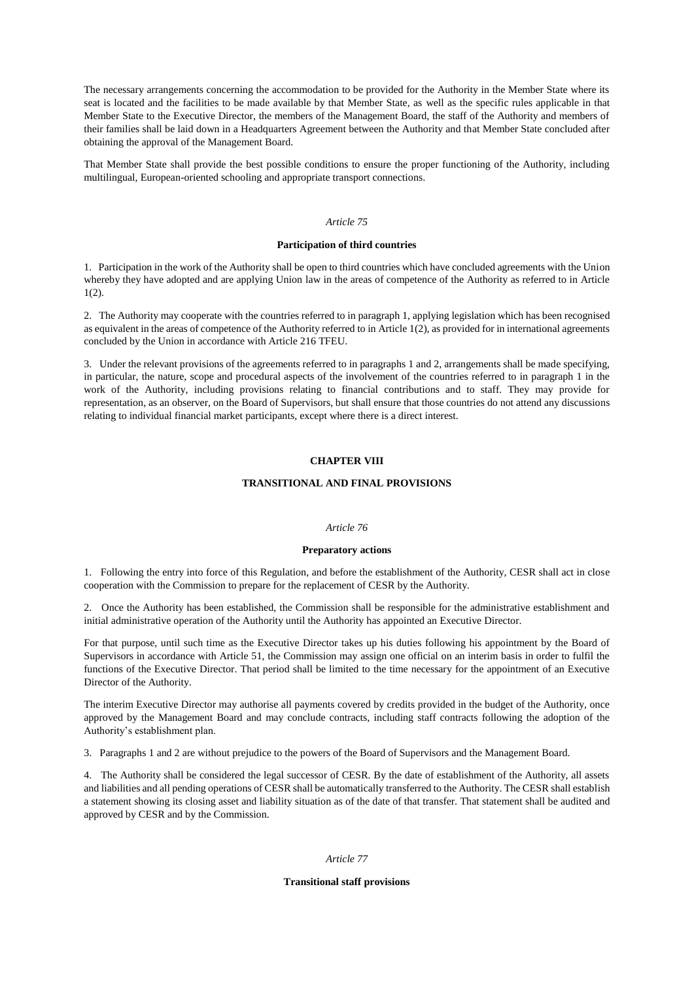The necessary arrangements concerning the accommodation to be provided for the Authority in the Member State where its seat is located and the facilities to be made available by that Member State, as well as the specific rules applicable in that Member State to the Executive Director, the members of the Management Board, the staff of the Authority and members of their families shall be laid down in a Headquarters Agreement between the Authority and that Member State concluded after obtaining the approval of the Management Board.

That Member State shall provide the best possible conditions to ensure the proper functioning of the Authority, including multilingual, European-oriented schooling and appropriate transport connections.

#### *Article 75*

#### **Participation of third countries**

1. Participation in the work of the Authority shall be open to third countries which have concluded agreements with the Union whereby they have adopted and are applying Union law in the areas of competence of the Authority as referred to in Article 1(2).

2. The Authority may cooperate with the countries referred to in paragraph 1, applying legislation which has been recognised as equivalent in the areas of competence of the Authority referred to in Article 1(2), as provided for in international agreements concluded by the Union in accordance with Article 216 TFEU.

3. Under the relevant provisions of the agreements referred to in paragraphs 1 and 2, arrangements shall be made specifying, in particular, the nature, scope and procedural aspects of the involvement of the countries referred to in paragraph 1 in the work of the Authority, including provisions relating to financial contributions and to staff. They may provide for representation, as an observer, on the Board of Supervisors, but shall ensure that those countries do not attend any discussions relating to individual financial market participants, except where there is a direct interest.

## **CHAPTER VIII**

## **TRANSITIONAL AND FINAL PROVISIONS**

#### *Article 76*

#### **Preparatory actions**

1. Following the entry into force of this Regulation, and before the establishment of the Authority, CESR shall act in close cooperation with the Commission to prepare for the replacement of CESR by the Authority.

2. Once the Authority has been established, the Commission shall be responsible for the administrative establishment and initial administrative operation of the Authority until the Authority has appointed an Executive Director.

For that purpose, until such time as the Executive Director takes up his duties following his appointment by the Board of Supervisors in accordance with Article 51, the Commission may assign one official on an interim basis in order to fulfil the functions of the Executive Director. That period shall be limited to the time necessary for the appointment of an Executive Director of the Authority.

The interim Executive Director may authorise all payments covered by credits provided in the budget of the Authority, once approved by the Management Board and may conclude contracts, including staff contracts following the adoption of the Authority's establishment plan.

3. Paragraphs 1 and 2 are without prejudice to the powers of the Board of Supervisors and the Management Board.

4. The Authority shall be considered the legal successor of CESR. By the date of establishment of the Authority, all assets and liabilities and all pending operations of CESR shall be automatically transferred to the Authority. The CESR shall establish a statement showing its closing asset and liability situation as of the date of that transfer. That statement shall be audited and approved by CESR and by the Commission.

### *Article 77*

#### **Transitional staff provisions**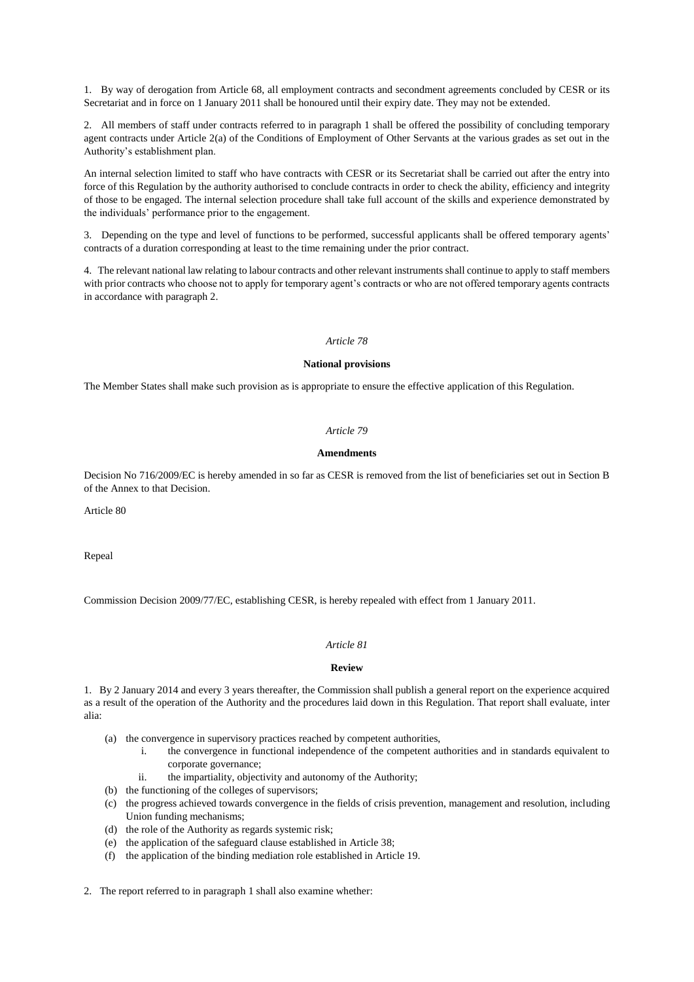1. By way of derogation from Article 68, all employment contracts and secondment agreements concluded by CESR or its Secretariat and in force on 1 January 2011 shall be honoured until their expiry date. They may not be extended.

2. All members of staff under contracts referred to in paragraph 1 shall be offered the possibility of concluding temporary agent contracts under Article 2(a) of the Conditions of Employment of Other Servants at the various grades as set out in the Authority's establishment plan.

An internal selection limited to staff who have contracts with CESR or its Secretariat shall be carried out after the entry into force of this Regulation by the authority authorised to conclude contracts in order to check the ability, efficiency and integrity of those to be engaged. The internal selection procedure shall take full account of the skills and experience demonstrated by the individuals' performance prior to the engagement.

3. Depending on the type and level of functions to be performed, successful applicants shall be offered temporary agents' contracts of a duration corresponding at least to the time remaining under the prior contract.

4. The relevant national law relating to labour contracts and other relevant instruments shall continue to apply to staff members with prior contracts who choose not to apply for temporary agent's contracts or who are not offered temporary agents contracts in accordance with paragraph 2.

#### *Article 78*

#### **National provisions**

The Member States shall make such provision as is appropriate to ensure the effective application of this Regulation.

## *Article 79*

#### **Amendments**

Decision No 716/2009/EC is hereby amended in so far as CESR is removed from the list of beneficiaries set out in Section B of the Annex to that Decision.

Article 80

Repeal

Commission Decision 2009/77/EC, establishing CESR, is hereby repealed with effect from 1 January 2011.

## *Article 81*

#### **Review**

1. By 2 January 2014 and every 3 years thereafter, the Commission shall publish a general report on the experience acquired as a result of the operation of the Authority and the procedures laid down in this Regulation. That report shall evaluate, inter alia:

- (a) the convergence in supervisory practices reached by competent authorities,
	- i. the convergence in functional independence of the competent authorities and in standards equivalent to corporate governance;
	- ii. the impartiality, objectivity and autonomy of the Authority;
- (b) the functioning of the colleges of supervisors;
- (c) the progress achieved towards convergence in the fields of crisis prevention, management and resolution, including Union funding mechanisms;
- (d) the role of the Authority as regards systemic risk;
- (e) the application of the safeguard clause established in Article 38;
- (f) the application of the binding mediation role established in Article 19.

2. The report referred to in paragraph 1 shall also examine whether: